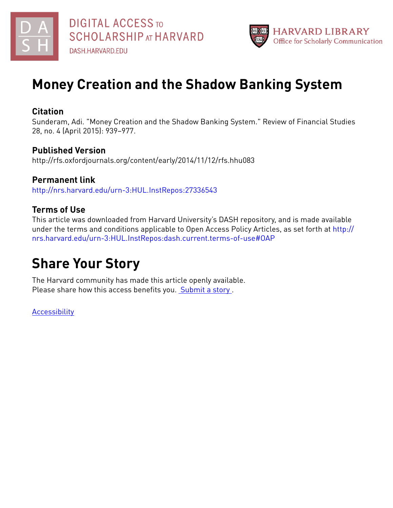



# **Money Creation and the Shadow Banking System**

# **Citation**

Sunderam, Adi. "Money Creation and the Shadow Banking System." Review of Financial Studies 28, no. 4 (April 2015): 939–977.

## **Published Version**

http://rfs.oxfordjournals.org/content/early/2014/11/12/rfs.hhu083

**Permanent link** <http://nrs.harvard.edu/urn-3:HUL.InstRepos:27336543>

# **Terms of Use**

This article was downloaded from Harvard University's DASH repository, and is made available under the terms and conditions applicable to Open Access Policy Articles, as set forth at [http://](http://nrs.harvard.edu/urn-3:HUL.InstRepos:dash.current.terms-of-use#OAP) [nrs.harvard.edu/urn-3:HUL.InstRepos:dash.current.terms-of-use#OAP](http://nrs.harvard.edu/urn-3:HUL.InstRepos:dash.current.terms-of-use#OAP)

# **Share Your Story**

The Harvard community has made this article openly available. Please share how this access benefits you. [Submit](http://osc.hul.harvard.edu/dash/open-access-feedback?handle=&title=Money%20Creation%20and%20the%20Shadow%20Banking%20System&community=1/3345929&collection=1/3345930&owningCollection1/3345930&harvardAuthors=94518361d9fb1f1b71627a1710e566a3&department) a story.

**[Accessibility](https://dash.harvard.edu/pages/accessibility)**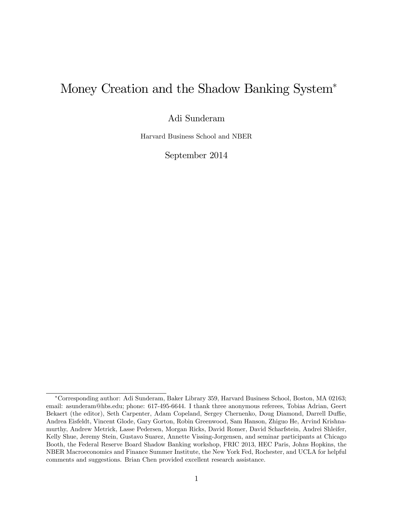# Money Creation and the Shadow Banking System

Adi Sunderam

Harvard Business School and NBER

September 2014

Corresponding author: Adi Sunderam, Baker Library 359, Harvard Business School, Boston, MA 02163; email: asunderam@hbs.edu; phone: 617-495-6644. I thank three anonymous referees, Tobias Adrian, Geert Bekaert (the editor), Seth Carpenter, Adam Copeland, Sergey Chernenko, Doug Diamond, Darrell Duffie, Andrea Eisfeldt, Vincent Glode, Gary Gorton, Robin Greenwood, Sam Hanson, Zhiguo He, Arvind Krishnamurthy, Andrew Metrick, Lasse Pedersen, Morgan Ricks, David Romer, David Scharfstein, Andrei Shleifer, Kelly Shue, Jeremy Stein, Gustavo Suarez, Annette Vissing-Jorgensen, and seminar participants at Chicago Booth, the Federal Reserve Board Shadow Banking workshop, FRIC 2013, HEC Paris, Johns Hopkins, the NBER Macroeconomics and Finance Summer Institute, the New York Fed, Rochester, and UCLA for helpful comments and suggestions. Brian Chen provided excellent research assistance.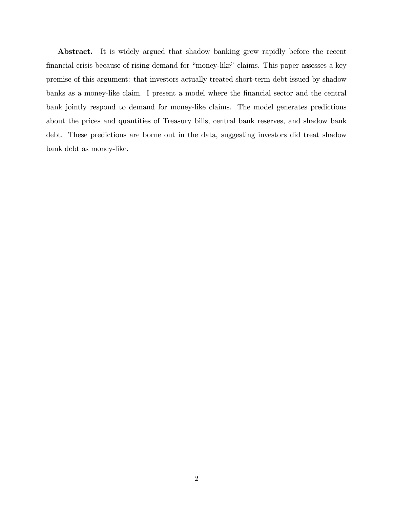Abstract. It is widely argued that shadow banking grew rapidly before the recent financial crisis because of rising demand for "money-like" claims. This paper assesses a key premise of this argument: that investors actually treated short-term debt issued by shadow banks as a money-like claim. I present a model where the financial sector and the central bank jointly respond to demand for money-like claims. The model generates predictions about the prices and quantities of Treasury bills, central bank reserves, and shadow bank debt. These predictions are borne out in the data, suggesting investors did treat shadow bank debt as money-like.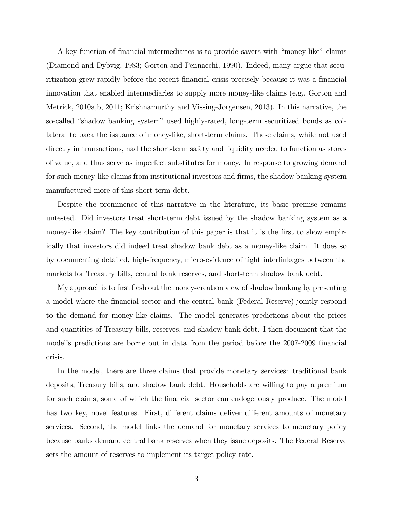A key function of financial intermediaries is to provide savers with "money-like" claims (Diamond and Dybvig, 1983; Gorton and Pennacchi, 1990). Indeed, many argue that securitization grew rapidly before the recent financial crisis precisely because it was a financial innovation that enabled intermediaries to supply more money-like claims (e.g., Gorton and Metrick, 2010a,b, 2011; Krishnamurthy and Vissing-Jorgensen, 2013). In this narrative, the so-called "shadow banking system" used highly-rated, long-term securitized bonds as collateral to back the issuance of money-like, short-term claims. These claims, while not used directly in transactions, had the short-term safety and liquidity needed to function as stores of value, and thus serve as imperfect substitutes for money. In response to growing demand for such money-like claims from institutional investors and firms, the shadow banking system manufactured more of this short-term debt.

Despite the prominence of this narrative in the literature, its basic premise remains untested. Did investors treat short-term debt issued by the shadow banking system as a money-like claim? The key contribution of this paper is that it is the first to show empirically that investors did indeed treat shadow bank debt as a money-like claim. It does so by documenting detailed, high-frequency, micro-evidence of tight interlinkages between the markets for Treasury bills, central bank reserves, and short-term shadow bank debt.

My approach is to first flesh out the money-creation view of shadow banking by presenting a model where the Önancial sector and the central bank (Federal Reserve) jointly respond to the demand for money-like claims. The model generates predictions about the prices and quantities of Treasury bills, reserves, and shadow bank debt. I then document that the model's predictions are borne out in data from the period before the 2007-2009 financial crisis.

In the model, there are three claims that provide monetary services: traditional bank deposits, Treasury bills, and shadow bank debt. Households are willing to pay a premium for such claims, some of which the financial sector can endogenously produce. The model has two key, novel features. First, different claims deliver different amounts of monetary services. Second, the model links the demand for monetary services to monetary policy because banks demand central bank reserves when they issue deposits. The Federal Reserve sets the amount of reserves to implement its target policy rate.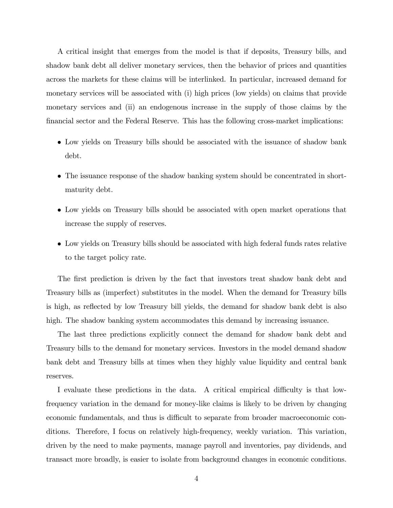A critical insight that emerges from the model is that if deposits, Treasury bills, and shadow bank debt all deliver monetary services, then the behavior of prices and quantities across the markets for these claims will be interlinked. In particular, increased demand for monetary services will be associated with (i) high prices (low yields) on claims that provide monetary services and (ii) an endogenous increase in the supply of those claims by the financial sector and the Federal Reserve. This has the following cross-market implications:

- Low yields on Treasury bills should be associated with the issuance of shadow bank debt.
- The issuance response of the shadow banking system should be concentrated in shortmaturity debt.
- Low yields on Treasury bills should be associated with open market operations that increase the supply of reserves.
- Low yields on Treasury bills should be associated with high federal funds rates relative to the target policy rate.

The first prediction is driven by the fact that investors treat shadow bank debt and Treasury bills as (imperfect) substitutes in the model. When the demand for Treasury bills is high, as reflected by low Treasury bill yields, the demand for shadow bank debt is also high. The shadow banking system accommodates this demand by increasing issuance.

The last three predictions explicitly connect the demand for shadow bank debt and Treasury bills to the demand for monetary services. Investors in the model demand shadow bank debt and Treasury bills at times when they highly value liquidity and central bank reserves.

I evaluate these predictions in the data. A critical empirical difficulty is that lowfrequency variation in the demand for money-like claims is likely to be driven by changing economic fundamentals, and thus is difficult to separate from broader macroeconomic conditions. Therefore, I focus on relatively high-frequency, weekly variation. This variation, driven by the need to make payments, manage payroll and inventories, pay dividends, and transact more broadly, is easier to isolate from background changes in economic conditions.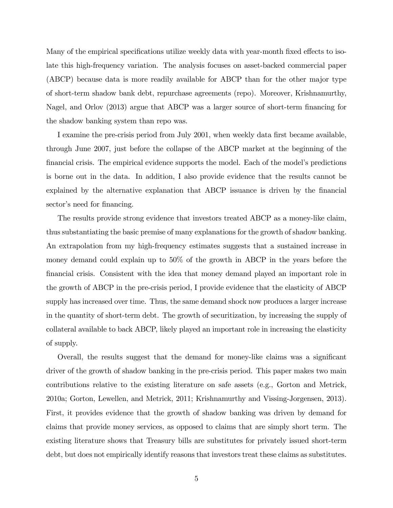Many of the empirical specifications utilize weekly data with year-month fixed effects to isolate this high-frequency variation. The analysis focuses on asset-backed commercial paper (ABCP) because data is more readily available for ABCP than for the other major type of short-term shadow bank debt, repurchase agreements (repo). Moreover, Krishnamurthy, Nagel, and Orlov (2013) argue that ABCP was a larger source of short-term financing for the shadow banking system than repo was.

I examine the pre-crisis period from July 2001, when weekly data first became available, through June 2007, just before the collapse of the ABCP market at the beginning of the financial crisis. The empirical evidence supports the model. Each of the model's predictions is borne out in the data. In addition, I also provide evidence that the results cannot be explained by the alternative explanation that ABCP issuance is driven by the financial sector's need for financing.

The results provide strong evidence that investors treated ABCP as a money-like claim, thus substantiating the basic premise of many explanations for the growth of shadow banking. An extrapolation from my high-frequency estimates suggests that a sustained increase in money demand could explain up to 50% of the growth in ABCP in the years before the Önancial crisis. Consistent with the idea that money demand played an important role in the growth of ABCP in the pre-crisis period, I provide evidence that the elasticity of ABCP supply has increased over time. Thus, the same demand shock now produces a larger increase in the quantity of short-term debt. The growth of securitization, by increasing the supply of collateral available to back ABCP, likely played an important role in increasing the elasticity of supply.

Overall, the results suggest that the demand for money-like claims was a significant driver of the growth of shadow banking in the pre-crisis period. This paper makes two main contributions relative to the existing literature on safe assets (e.g., Gorton and Metrick, 2010a; Gorton, Lewellen, and Metrick, 2011; Krishnamurthy and Vissing-Jorgensen, 2013). First, it provides evidence that the growth of shadow banking was driven by demand for claims that provide money services, as opposed to claims that are simply short term. The existing literature shows that Treasury bills are substitutes for privately issued short-term debt, but does not empirically identify reasons that investors treat these claims as substitutes.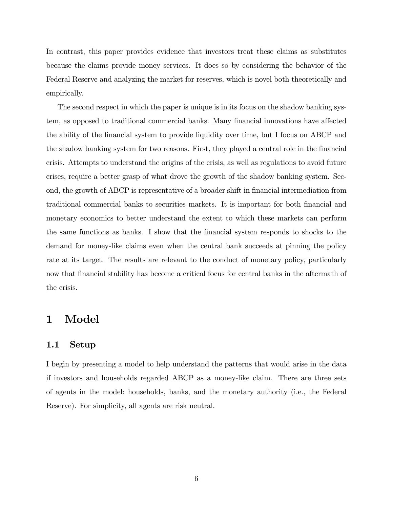In contrast, this paper provides evidence that investors treat these claims as substitutes because the claims provide money services. It does so by considering the behavior of the Federal Reserve and analyzing the market for reserves, which is novel both theoretically and empirically.

The second respect in which the paper is unique is in its focus on the shadow banking system, as opposed to traditional commercial banks. Many financial innovations have affected the ability of the Önancial system to provide liquidity over time, but I focus on ABCP and the shadow banking system for two reasons. First, they played a central role in the financial crisis. Attempts to understand the origins of the crisis, as well as regulations to avoid future crises, require a better grasp of what drove the growth of the shadow banking system. Second, the growth of ABCP is representative of a broader shift in financial intermediation from traditional commercial banks to securities markets. It is important for both financial and monetary economics to better understand the extent to which these markets can perform the same functions as banks. I show that the Önancial system responds to shocks to the demand for money-like claims even when the central bank succeeds at pinning the policy rate at its target. The results are relevant to the conduct of monetary policy, particularly now that financial stability has become a critical focus for central banks in the aftermath of the crisis.

## 1 Model

#### 1.1 Setup

I begin by presenting a model to help understand the patterns that would arise in the data if investors and households regarded ABCP as a money-like claim. There are three sets of agents in the model: households, banks, and the monetary authority (i.e., the Federal Reserve). For simplicity, all agents are risk neutral.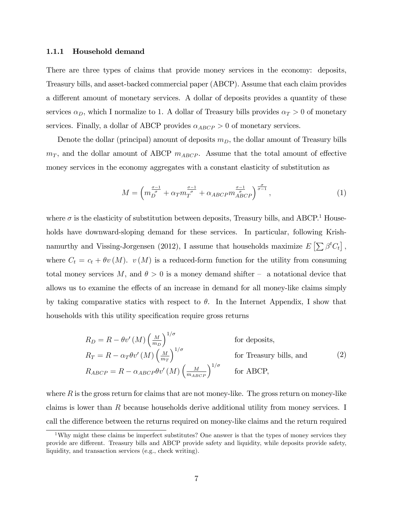#### 1.1.1 Household demand

There are three types of claims that provide money services in the economy: deposits, Treasury bills, and asset-backed commercial paper (ABCP). Assume that each claim provides a different amount of monetary services. A dollar of deposits provides a quantity of these services  $\alpha_D$ , which I normalize to 1. A dollar of Treasury bills provides  $\alpha_T > 0$  of monetary services. Finally, a dollar of ABCP provides  $\alpha_{ABCP} > 0$  of monetary services.

Denote the dollar (principal) amount of deposits  $m_D$ , the dollar amount of Treasury bills  $m_T$ , and the dollar amount of ABCP  $m_{ABCP}$ . Assume that the total amount of effective money services in the economy aggregates with a constant elasticity of substitution as

$$
M = \left( m_{D}^{\frac{\sigma-1}{\sigma}} + \alpha_{T} m_{T}^{\frac{\sigma-1}{\sigma}} + \alpha_{ABCP} m_{ABCP}^{\frac{\sigma-1}{\sigma}} \right)^{\frac{\sigma}{\sigma-1}},
$$
\n(1)

where  $\sigma$  is the elasticity of substitution between deposits, Treasury bills, and ABCP.<sup>1</sup> Households have downward-sloping demand for these services. In particular, following Krishnamurthy and Vissing-Jorgensen (2012), I assume that households maximize  $E\left[\sum \beta^t C_t\right]$ , where  $C_t = c_t + \theta v(M)$ .  $v(M)$  is a reduced-form function for the utility from consuming total money services M, and  $\theta > 0$  is a money demand shifter – a notational device that allows us to examine the effects of an increase in demand for all money-like claims simply by taking comparative statics with respect to  $\theta$ . In the Internet Appendix, I show that households with this utility specification require gross returns

$$
R_D = R - \theta v' (M) \left(\frac{M}{m_D}\right)^{1/\sigma} \qquad \text{for deposits,}
$$
  
\n
$$
R_T = R - \alpha_T \theta v' (M) \left(\frac{M}{m_T}\right)^{1/\sigma} \qquad \text{for Treasury bills, and}
$$
  
\n
$$
R_{ABCP} = R - \alpha_{ABCP} \theta v' (M) \left(\frac{M}{m_{ABCP}}\right)^{1/\sigma} \qquad \text{for ABCP,}
$$
\n(2)

where  $R$  is the gross return for claims that are not money-like. The gross return on money-like claims is lower than R because households derive additional utility from money services. I call the difference between the returns required on money-like claims and the return required

<sup>&</sup>lt;sup>1</sup>Why might these claims be imperfect substitutes? One answer is that the types of money services they provide are different. Treasury bills and ABCP provide safety and liquidity, while deposits provide safety, liquidity, and transaction services (e.g., check writing).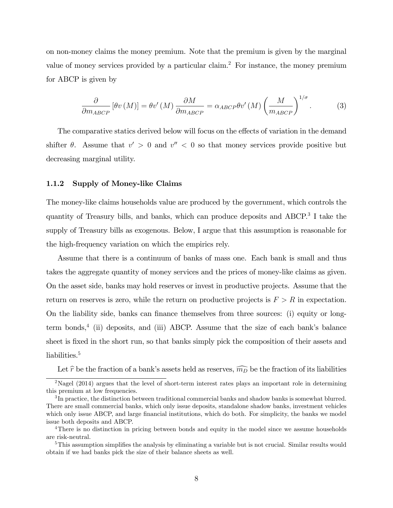on non-money claims the money premium. Note that the premium is given by the marginal value of money services provided by a particular claim.<sup>2</sup> For instance, the money premium for ABCP is given by

$$
\frac{\partial}{\partial m_{ABCP}} \left[ \theta v \left( M \right) \right] = \theta v' \left( M \right) \frac{\partial M}{\partial m_{ABCP}} = \alpha_{ABCP} \theta v' \left( M \right) \left( \frac{M}{m_{ABCP}} \right)^{1/\sigma} . \tag{3}
$$

The comparative statics derived below will focus on the effects of variation in the demand shifter  $\theta$ . Assume that  $v' > 0$  and  $v'' < 0$  so that money services provide positive but decreasing marginal utility.

#### 1.1.2 Supply of Money-like Claims

The money-like claims households value are produced by the government, which controls the quantity of Treasury bills, and banks, which can produce deposits and ABCP.<sup>3</sup> I take the supply of Treasury bills as exogenous. Below, I argue that this assumption is reasonable for the high-frequency variation on which the empirics rely.

Assume that there is a continuum of banks of mass one. Each bank is small and thus takes the aggregate quantity of money services and the prices of money-like claims as given. On the asset side, banks may hold reserves or invest in productive projects. Assume that the return on reserves is zero, while the return on productive projects is  $F > R$  in expectation. On the liability side, banks can finance themselves from three sources: (i) equity or longterm bonds,<sup>4</sup> (ii) deposits, and (iii) ABCP. Assume that the size of each bank's balance sheet is fixed in the short run, so that banks simply pick the composition of their assets and liabilities.<sup>5</sup>

Let  $\hat{r}$  be the fraction of a bank's assets held as reserves,  $\widehat{m_D}$  be the fraction of its liabilities

<sup>&</sup>lt;sup>2</sup>Nagel (2014) argues that the level of short-term interest rates plays an important role in determining this premium at low frequencies.

 ${}^{3}$ In practice, the distinction between traditional commercial banks and shadow banks is somewhat blurred. There are small commercial banks, which only issue deposits, standalone shadow banks, investment vehicles which only issue ABCP, and large financial institutions, which do both. For simplicity, the banks we model issue both deposits and ABCP.

<sup>&</sup>lt;sup>4</sup>There is no distinction in pricing between bonds and equity in the model since we assume households are risk-neutral.

 $5$ This assumption simplifies the analysis by eliminating a variable but is not crucial. Similar results would obtain if we had banks pick the size of their balance sheets as well.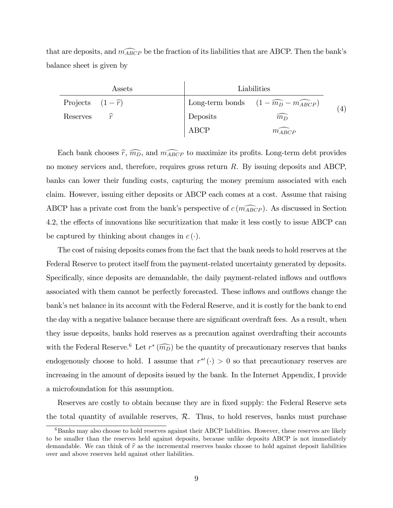that are deposits, and  $\widehat{m_{ABCP}}$  be the fraction of its liabilities that are ABCP. Then the bank's balance sheet is given by

| Assets                    | Liabilities |                                                            |     |  |
|---------------------------|-------------|------------------------------------------------------------|-----|--|
| Projects $(1-\hat{r})$    |             | Long-term bonds $(1 - \widehat{m_D} - \widehat{m_{ABCP}})$ | (4) |  |
| $\widehat{r}$<br>Reserves | Deposits    | $\widehat{m_D}$                                            |     |  |
|                           | ABCP        | $m_{ABCP}$                                                 |     |  |

Each bank chooses  $\hat{r}, \widehat{m_D}$ , and  $\widehat{m_{ABCP}}$  to maximize its profits. Long-term debt provides no money services and, therefore, requires gross return R. By issuing deposits and ABCP, banks can lower their funding costs, capturing the money premium associated with each claim. However, issuing either deposits or ABCP each comes at a cost. Assume that raising ABCP has a private cost from the bank's perspective of  $c(m_{ABCP})$ . As discussed in Section 4.2, the effects of innovations like securitization that make it less costly to issue ABCP can be captured by thinking about changes in  $c(\cdot)$ .

The cost of raising deposits comes from the fact that the bank needs to hold reserves at the Federal Reserve to protect itself from the payment-related uncertainty generated by deposits. Specifically, since deposits are demandable, the daily payment-related inflows and outflows associated with them cannot be perfectly forecasted. These inflows and outflows change the bank's net balance in its account with the Federal Reserve, and it is costly for the bank to end the day with a negative balance because there are significant overdraft fees. As a result, when they issue deposits, banks hold reserves as a precaution against overdrafting their accounts with the Federal Reserve.<sup>6</sup> Let  $r^*(\widehat{m_D})$  be the quantity of precautionary reserves that banks endogenously choose to hold. I assume that  $r^{*'}(\cdot) > 0$  so that precautionary reserves are increasing in the amount of deposits issued by the bank. In the Internet Appendix, I provide a microfoundation for this assumption.

Reserves are costly to obtain because they are in fixed supply: the Federal Reserve sets the total quantity of available reserves,  $\mathcal{R}$ . Thus, to hold reserves, banks must purchase

 $6$ Banks may also choose to hold reserves against their ABCP liabilities. However, these reserves are likely to be smaller than the reserves held against deposits, because unlike deposits ABCP is not immediately demandable. We can think of  $\hat{r}$  as the incremental reserves banks choose to hold against deposit liabilities over and above reserves held against other liabilities.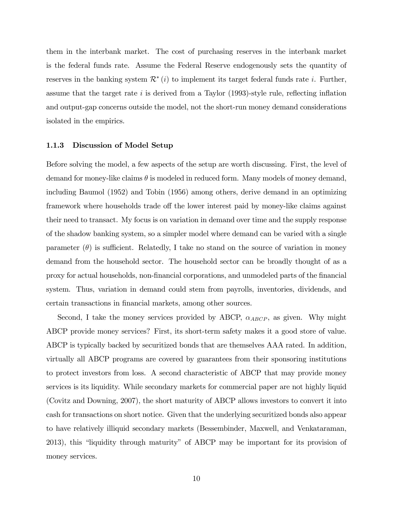them in the interbank market. The cost of purchasing reserves in the interbank market is the federal funds rate. Assume the Federal Reserve endogenously sets the quantity of reserves in the banking system  $\mathcal{R}^*(i)$  to implement its target federal funds rate *i*. Further, assume that the target rate  $i$  is derived from a Taylor (1993)-style rule, reflecting inflation and output-gap concerns outside the model, not the short-run money demand considerations isolated in the empirics.

#### 1.1.3 Discussion of Model Setup

Before solving the model, a few aspects of the setup are worth discussing. First, the level of demand for money-like claims  $\theta$  is modeled in reduced form. Many models of money demand, including Baumol (1952) and Tobin (1956) among others, derive demand in an optimizing framework where households trade of the lower interest paid by money-like claims against their need to transact. My focus is on variation in demand over time and the supply response of the shadow banking system, so a simpler model where demand can be varied with a single parameter  $(\theta)$  is sufficient. Relatedly, I take no stand on the source of variation in money demand from the household sector. The household sector can be broadly thought of as a proxy for actual households, non-Önancial corporations, and unmodeled parts of the Önancial system. Thus, variation in demand could stem from payrolls, inventories, dividends, and certain transactions in financial markets, among other sources.

Second, I take the money services provided by ABCP,  $\alpha_{ABCP}$ , as given. Why might ABCP provide money services? First, its short-term safety makes it a good store of value. ABCP is typically backed by securitized bonds that are themselves AAA rated. In addition, virtually all ABCP programs are covered by guarantees from their sponsoring institutions to protect investors from loss. A second characteristic of ABCP that may provide money services is its liquidity. While secondary markets for commercial paper are not highly liquid (Covitz and Downing, 2007), the short maturity of ABCP allows investors to convert it into cash for transactions on short notice. Given that the underlying securitized bonds also appear to have relatively illiquid secondary markets (Bessembinder, Maxwell, and Venkataraman, 2013), this "liquidity through maturity" of ABCP may be important for its provision of money services.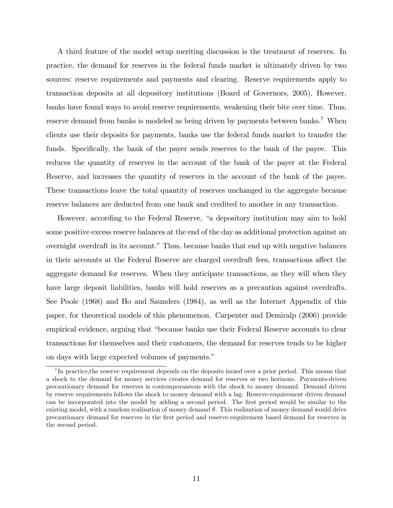A third feature of the model setup meriting discussion is the treatment of reserves. In practice, the demand for reserves in the federal funds market is ultimately driven by two sources: reserve requirements and payments and clearing. Reserve requirements apply to transaction deposits at all depository institutions (Board of Governors, 2005). However, banks have found ways to avoid reserve requirements, weakening their bite over time. Thus, reserve demand from banks is modeled as being driven by payments between banks.<sup>7</sup> When clients use their deposits for payments, banks use the federal funds market to transfer the funds. Specifically, the bank of the payer sends reserves to the bank of the payee. This reduces the quantity of reserves in the account of the bank of the payer at the Federal Reserve, and increases the quantity of reserves in the account of the bank of the payee. These transactions leave the total quantity of reserves unchanged in the aggregate because reserve balances are deducted from one bank and credited to another in any transaction.

However, according to the Federal Reserve, "a depository institution may aim to hold some positive excess reserve balances at the end of the day as additional protection against an overnight overdraft in its account." Thus, because banks that end up with negative balances in their accounts at the Federal Reserve are charged overdraft fees, transactions affect the aggregate demand for reserves. When they anticipate transactions, as they will when they have large deposit liabilities, banks will hold reserves as a precaution against overdrafts. See Poole (1968) and Ho and Saunders (1984), as well as the Internet Appendix of this paper, for theoretical models of this phenomenon. Carpenter and Demiralp (2006) provide empirical evidence, arguing that "because banks use their Federal Reserve accounts to clear transactions for themselves and their customers, the demand for reserves tends to be higher on days with large expected volumes of payments."

<sup>&</sup>lt;sup>7</sup>In practice, the reserve requirement depends on the deposits issued over a prior period. This means that a shock to the demand for money services creates demand for reserves at two horizons. Payments-driven precautionary demand for reserves is contemporaneous with the shock to money demand. Demand driven by reserve requirements follows the shock to money demand with a lag. Reserve-requirement driven demand can be incorporated into the model by adding a second period. The first period would be similar to the existing model, with a random realization of money demand  $\theta$ . This realization of money demand would drive precautionary demand for reserves in the Örst period and reserve-requirement based demand for reserves in the second period.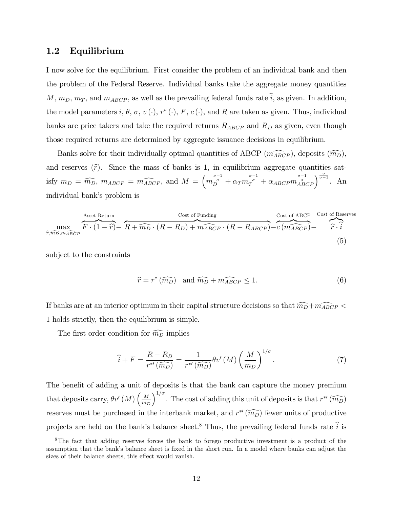## 1.2 Equilibrium

I now solve for the equilibrium. First consider the problem of an individual bank and then the problem of the Federal Reserve. Individual banks take the aggregate money quantities  $M, m_D, m_T$ , and  $m_{ABCP}$ , as well as the prevailing federal funds rate  $\hat{i}$ , as given. In addition, the model parameters  $i, \theta, \sigma, v$  (·),  $r^*$  (·),  $F, c$  (·), and R are taken as given. Thus, individual banks are price takers and take the required returns  $R_{ABCP}$  and  $R_D$  as given, even though those required returns are determined by aggregate issuance decisions in equilibrium.

Banks solve for their individually optimal quantities of ABCP  $(m_{ABCP}^2)$ , deposits  $(m_D)$ , and reserves  $(\hat{r})$ . Since the mass of banks is 1, in equilibrium aggregate quantities satisfy  $m_D = \widehat{m_D}$ ,  $m_{ABCP} = \widehat{m_{ABCP}}$ , and  $M = \left( m_D^{\frac{\sigma-1}{\sigma}} + \alpha_T m_T^{\frac{\sigma-1}{\sigma}} + \alpha_{ABCP} m_{ABCP}^{\frac{\sigma-1}{\sigma}} \right)^{\frac{\sigma}{\sigma-1}}$ . An individual bank's problem is

$$
\max_{\widehat{r}, \widehat{m_D}, m_{\widehat{ABC}P}} \overbrace{F \cdot (1 - \widehat{r})}^{\text{Asset Return}} - \overbrace{R + \widehat{m_D} \cdot (R - R_D) + m_{\widehat{ABC}P} \cdot (R - R_{ABCP})}^{\text{Cost of Funding}} - \overbrace{c \cdot (m_{\widehat{ABC}P})}^{\text{Cost of ABCP}} - \overbrace{\widehat{r} \cdot \widehat{i}}^{\text{Cost of Reserves}} \tag{5}
$$

subject to the constraints

$$
\widehat{r} = r^* \left( \widehat{m_D} \right) \text{ and } \widehat{m_D} + \widehat{m_{ABCP}} \le 1. \tag{6}
$$

If banks are at an interior optimum in their capital structure decisions so that  $\widehat{m_D} + \widehat{m_{ABCP}}$  < 1 holds strictly, then the equilibrium is simple.

The first order condition for  $\widehat{m_D}$  implies

$$
\widehat{i} + F = \frac{R - R_D}{r^{*'}(\widehat{m_D})} = \frac{1}{r^{*'}(\widehat{m_D})} \theta v'(M) \left(\frac{M}{m_D}\right)^{1/\sigma}.
$$
 (7)

The benefit of adding a unit of deposits is that the bank can capture the money premium that deposits carry,  $\theta v'(M) \left(\frac{M}{m} \right)$  $m_D$  $\int^{1/\sigma}$ . The cost of adding this unit of deposits is that  $r^{*\prime}$  ( $\widehat{m_D}$ ) reserves must be purchased in the interbank market, and  $r^{\ast}(\widehat{m_D})$  fewer units of productive projects are held on the bank's balance sheet.<sup>8</sup> Thus, the prevailing federal funds rate  $\hat{i}$  is

<sup>&</sup>lt;sup>8</sup>The fact that adding reserves forces the bank to forego productive investment is a product of the assumption that the bank's balance sheet is fixed in the short run. In a model where banks can adjust the sizes of their balance sheets, this effect would vanish.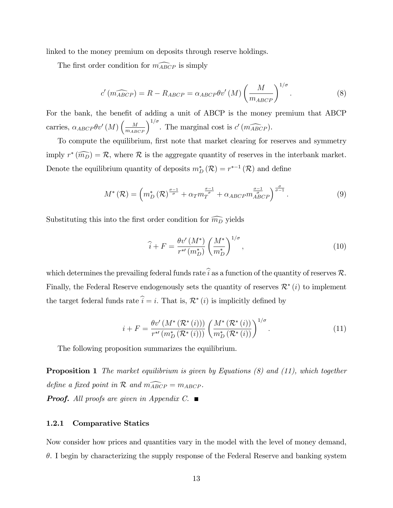linked to the money premium on deposits through reserve holdings.

The first order condition for  $\widehat{m_{ABCP}}$  is simply

$$
c'(m_{ABCP}) = R - R_{ABCP} = \alpha_{ABCP} \theta v'(M) \left(\frac{M}{m_{ABCP}}\right)^{1/\sigma}.
$$
 (8)

For the bank, the benefit of adding a unit of ABCP is the money premium that ABCP carries,  $\alpha_{ABCP}\theta v'(M)\left(\frac{M}{m_{ABCP}}\right)^{1/\sigma}$ . The marginal cost is  $c'(m_{ABCP}^{\frown})$ .

To compute the equilibrium, first note that market clearing for reserves and symmetry imply  $r^*(\widehat{m_D}) = \mathcal{R}$ , where  $\mathcal R$  is the aggregate quantity of reserves in the interbank market. Denote the equilibrium quantity of deposits  $m_D^*(\mathcal{R}) = r^{*-1}(\mathcal{R})$  and define

$$
M^*(\mathcal{R}) = \left(m_D^*\left(\mathcal{R}\right)^{\frac{\sigma-1}{\sigma}} + \alpha_T m_T^{\frac{\sigma-1}{\sigma}} + \alpha_{ABCP} m_{ABCP}^{\frac{\sigma-1}{\sigma}}\right)^{\frac{\sigma}{\sigma-1}}.\tag{9}
$$

Substituting this into the first order condition for  $\widehat{m_D}$  yields

$$
\hat{i} + F = \frac{\theta v'(M^*)}{r^{*'}(m_D^*)} \left(\frac{M^*}{m_D^*}\right)^{1/\sigma},
$$
\n(10)

which determines the prevailing federal funds rate  $\hat{i}$  as a function of the quantity of reserves  $\mathcal{R}$ . Finally, the Federal Reserve endogenously sets the quantity of reserves  $\mathcal{R}^*(i)$  to implement the target federal funds rate  $i = i$ . That is,  $\mathcal{R}^*(i)$  is implicitly defined by

$$
i + F = \frac{\theta v'(M^*(\mathcal{R}^*(i)))}{r^{*'}(m_D^*(\mathcal{R}^*(i)))} \left(\frac{M^*(\mathcal{R}^*(i))}{m_D^*(\mathcal{R}^*(i))}\right)^{1/\sigma}.
$$
 (11)

The following proposition summarizes the equilibrium.

**Proposition 1** The market equilibrium is given by Equations  $(8)$  and  $(11)$ , which together define a fixed point in  $\mathcal R$  and  $\widehat{m_{ABCP}} = m_{ABCP}$ .

**Proof.** All proofs are given in Appendix C.

#### 1.2.1 Comparative Statics

Now consider how prices and quantities vary in the model with the level of money demand,  $\theta$ . I begin by characterizing the supply response of the Federal Reserve and banking system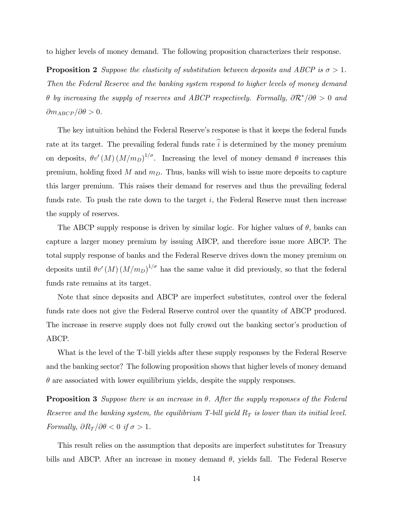to higher levels of money demand. The following proposition characterizes their response.

**Proposition 2** Suppose the elasticity of substitution between deposits and ABCP is  $\sigma > 1$ . Then the Federal Reserve and the banking system respond to higher levels of money demand  $\theta$  by increasing the supply of reserves and ABCP respectively. Formally,  $\partial \mathcal{R}^* / \partial \theta > 0$  and  $\partial m_{ABCP}/\partial \theta > 0.$ 

The key intuition behind the Federal Reserve's response is that it keeps the federal funds rate at its target. The prevailing federal funds rate  $\hat{i}$  is determined by the money premium on deposits,  $\theta v'(M) (M/m_D)^{1/\sigma}$ . Increasing the level of money demand  $\theta$  increases this premium, holding fixed M and  $m<sub>D</sub>$ . Thus, banks will wish to issue more deposits to capture this larger premium. This raises their demand for reserves and thus the prevailing federal funds rate. To push the rate down to the target  $i$ , the Federal Reserve must then increase the supply of reserves.

The ABCP supply response is driven by similar logic. For higher values of  $\theta$ , banks can capture a larger money premium by issuing ABCP, and therefore issue more ABCP. The total supply response of banks and the Federal Reserve drives down the money premium on deposits until  $\theta v'(M) (M/m_D)^{1/\sigma}$  has the same value it did previously, so that the federal funds rate remains at its target.

Note that since deposits and ABCP are imperfect substitutes, control over the federal funds rate does not give the Federal Reserve control over the quantity of ABCP produced. The increase in reserve supply does not fully crowd out the banking sector's production of ABCP.

What is the level of the T-bill yields after these supply responses by the Federal Reserve and the banking sector? The following proposition shows that higher levels of money demand  $\theta$  are associated with lower equilibrium yields, despite the supply responses.

**Proposition 3** Suppose there is an increase in  $\theta$ . After the supply responses of the Federal Reserve and the banking system, the equilibrium T-bill yield  $R_T$  is lower than its initial level. Formally,  $\partial R_T / \partial \theta < 0$  if  $\sigma > 1$ .

This result relies on the assumption that deposits are imperfect substitutes for Treasury bills and ABCP. After an increase in money demand  $\theta$ , yields fall. The Federal Reserve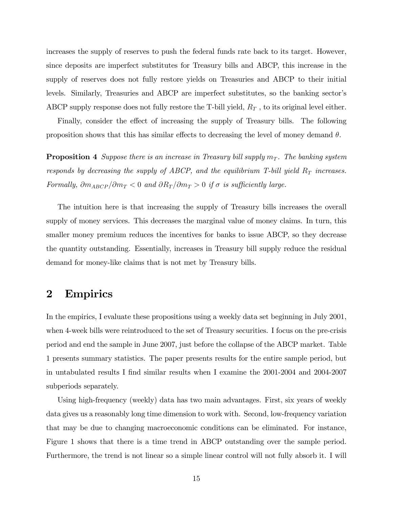increases the supply of reserves to push the federal funds rate back to its target. However, since deposits are imperfect substitutes for Treasury bills and ABCP, this increase in the supply of reserves does not fully restore yields on Treasuries and ABCP to their initial levels. Similarly, Treasuries and ABCP are imperfect substitutes, so the banking sector's ABCP supply response does not fully restore the T-bill yield,  $R_T$ , to its original level either.

Finally, consider the effect of increasing the supply of Treasury bills. The following proposition shows that this has similar effects to decreasing the level of money demand  $\theta$ .

**Proposition 4** Suppose there is an increase in Treasury bill supply  $m<sub>T</sub>$ . The banking system responds by decreasing the supply of ABCP, and the equilibrium T-bill yield  $R_T$  increases. Formally,  $\partial m_{ABCP}/\partial m_T < 0$  and  $\partial R_T/\partial m_T > 0$  if  $\sigma$  is sufficiently large.

The intuition here is that increasing the supply of Treasury bills increases the overall supply of money services. This decreases the marginal value of money claims. In turn, this smaller money premium reduces the incentives for banks to issue ABCP, so they decrease the quantity outstanding. Essentially, increases in Treasury bill supply reduce the residual demand for money-like claims that is not met by Treasury bills.

## 2 Empirics

In the empirics, I evaluate these propositions using a weekly data set beginning in July 2001, when 4-week bills were reintroduced to the set of Treasury securities. I focus on the pre-crisis period and end the sample in June 2007, just before the collapse of the ABCP market. Table 1 presents summary statistics. The paper presents results for the entire sample period, but in untabulated results I find similar results when I examine the 2001-2004 and 2004-2007 subperiods separately.

Using high-frequency (weekly) data has two main advantages. First, six years of weekly data gives us a reasonably long time dimension to work with. Second, low-frequency variation that may be due to changing macroeconomic conditions can be eliminated. For instance, Figure 1 shows that there is a time trend in ABCP outstanding over the sample period. Furthermore, the trend is not linear so a simple linear control will not fully absorb it. I will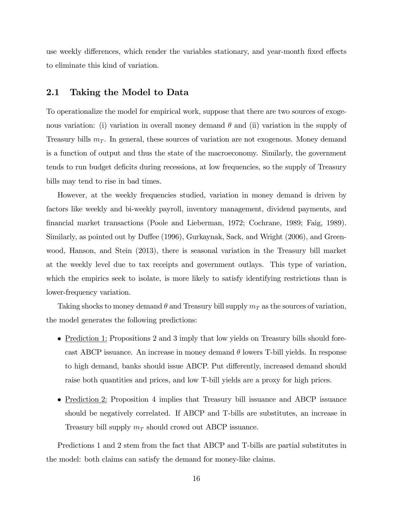use weekly differences, which render the variables stationary, and year-month fixed effects to eliminate this kind of variation.

#### 2.1 Taking the Model to Data

To operationalize the model for empirical work, suppose that there are two sources of exogenous variation: (i) variation in overall money demand  $\theta$  and (ii) variation in the supply of Treasury bills  $m<sub>T</sub>$ . In general, these sources of variation are not exogenous. Money demand is a function of output and thus the state of the macroeconomy. Similarly, the government tends to run budget deficits during recessions, at low frequencies, so the supply of Treasury bills may tend to rise in bad times.

However, at the weekly frequencies studied, variation in money demand is driven by factors like weekly and bi-weekly payroll, inventory management, dividend payments, and Önancial market transactions (Poole and Lieberman, 1972; Cochrane, 1989; Faig, 1989). Similarly, as pointed out by Duffee (1996), Gurkaynak, Sack, and Wright (2006), and Greenwood, Hanson, and Stein (2013), there is seasonal variation in the Treasury bill market at the weekly level due to tax receipts and government outlays. This type of variation, which the empirics seek to isolate, is more likely to satisfy identifying restrictions than is lower-frequency variation.

Taking shocks to money demand  $\theta$  and Treasury bill supply  $m_T$  as the sources of variation, the model generates the following predictions:

- Prediction 1: Propositions 2 and 3 imply that low yields on Treasury bills should forecast ABCP issuance. An increase in money demand  $\theta$  lowers T-bill yields. In response to high demand, banks should issue ABCP. Put differently, increased demand should raise both quantities and prices, and low T-bill yields are a proxy for high prices.
- Prediction 2: Proposition 4 implies that Treasury bill issuance and ABCP issuance should be negatively correlated. If ABCP and T-bills are substitutes, an increase in Treasury bill supply  $m<sub>T</sub>$  should crowd out ABCP issuance.

Predictions 1 and 2 stem from the fact that ABCP and T-bills are partial substitutes in the model: both claims can satisfy the demand for money-like claims.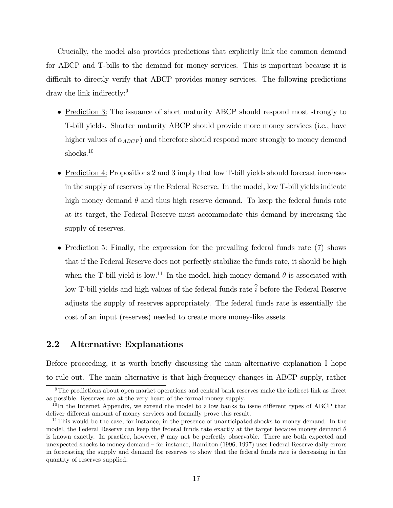Crucially, the model also provides predictions that explicitly link the common demand for ABCP and T-bills to the demand for money services. This is important because it is difficult to directly verify that ABCP provides money services. The following predictions draw the link indirectly:<sup>9</sup>

- Prediction 3: The issuance of short maturity ABCP should respond most strongly to T-bill yields. Shorter maturity ABCP should provide more money services (i.e., have higher values of  $\alpha_{ABCP}$  and therefore should respond more strongly to money demand shocks.<sup>10</sup>
- Prediction 4: Propositions 2 and 3 imply that low T-bill yields should forecast increases in the supply of reserves by the Federal Reserve. In the model, low T-bill yields indicate high money demand  $\theta$  and thus high reserve demand. To keep the federal funds rate at its target, the Federal Reserve must accommodate this demand by increasing the supply of reserves.
- Prediction 5: Finally, the expression for the prevailing federal funds rate (7) shows that if the Federal Reserve does not perfectly stabilize the funds rate, it should be high when the T-bill yield is low.<sup>11</sup> In the model, high money demand  $\theta$  is associated with low T-bill yields and high values of the federal funds rate  $\hat{i}$  before the Federal Reserve adjusts the supply of reserves appropriately. The federal funds rate is essentially the cost of an input (reserves) needed to create more money-like assets.

## 2.2 Alternative Explanations

Before proceeding, it is worth briefly discussing the main alternative explanation I hope to rule out. The main alternative is that high-frequency changes in ABCP supply, rather

<sup>9</sup>The predictions about open market operations and central bank reserves make the indirect link as direct as possible. Reserves are at the very heart of the formal money supply.

 $10$ In the Internet Appendix, we extend the model to allow banks to issue different types of ABCP that deliver different amount of money services and formally prove this result.

 $11$ This would be the case, for instance, in the presence of unanticipated shocks to money demand. In the model, the Federal Reserve can keep the federal funds rate exactly at the target because money demand  $\theta$ is known exactly. In practice, however,  $\theta$  may not be perfectly observable. There are both expected and unexpected shocks to money demand – for instance, Hamilton (1996, 1997) uses Federal Reserve daily errors in forecasting the supply and demand for reserves to show that the federal funds rate is decreasing in the quantity of reserves supplied.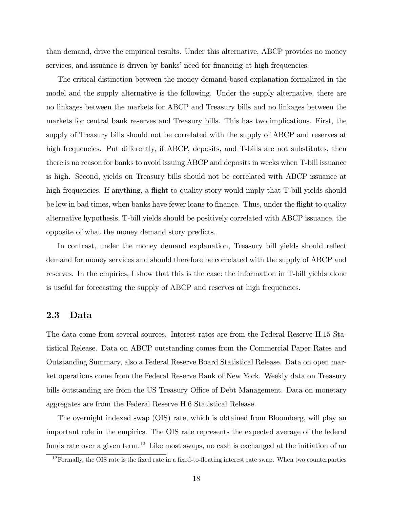than demand, drive the empirical results. Under this alternative, ABCP provides no money services, and issuance is driven by banks' need for financing at high frequencies.

The critical distinction between the money demand-based explanation formalized in the model and the supply alternative is the following. Under the supply alternative, there are no linkages between the markets for ABCP and Treasury bills and no linkages between the markets for central bank reserves and Treasury bills. This has two implications. First, the supply of Treasury bills should not be correlated with the supply of ABCP and reserves at high frequencies. Put differently, if ABCP, deposits, and T-bills are not substitutes, then there is no reason for banks to avoid issuing ABCP and deposits in weeks when T-bill issuance is high. Second, yields on Treasury bills should not be correlated with ABCP issuance at high frequencies. If anything, a flight to quality story would imply that T-bill yields should be low in bad times, when banks have fewer loans to finance. Thus, under the flight to quality alternative hypothesis, T-bill yields should be positively correlated with ABCP issuance, the opposite of what the money demand story predicts.

In contrast, under the money demand explanation, Treasury bill yields should reflect demand for money services and should therefore be correlated with the supply of ABCP and reserves. In the empirics, I show that this is the case: the information in T-bill yields alone is useful for forecasting the supply of ABCP and reserves at high frequencies.

## 2.3 Data

The data come from several sources. Interest rates are from the Federal Reserve H.15 Statistical Release. Data on ABCP outstanding comes from the Commercial Paper Rates and Outstanding Summary, also a Federal Reserve Board Statistical Release. Data on open market operations come from the Federal Reserve Bank of New York. Weekly data on Treasury bills outstanding are from the US Treasury Office of Debt Management. Data on monetary aggregates are from the Federal Reserve H.6 Statistical Release.

The overnight indexed swap (OIS) rate, which is obtained from Bloomberg, will play an important role in the empirics. The OIS rate represents the expected average of the federal funds rate over a given term.<sup>12</sup> Like most swaps, no cash is exchanged at the initiation of an

 $12$  Formally, the OIS rate is the fixed rate in a fixed-to-floating interest rate swap. When two counterparties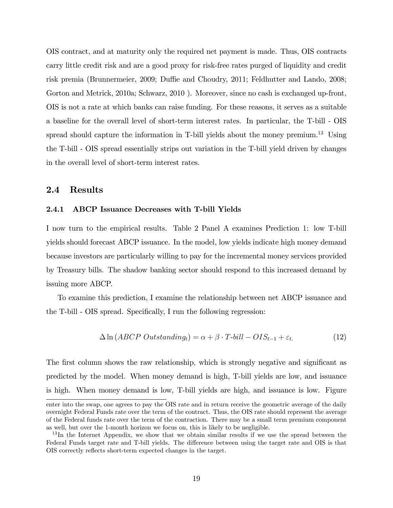OIS contract, and at maturity only the required net payment is made. Thus, OIS contracts carry little credit risk and are a good proxy for risk-free rates purged of liquidity and credit risk premia (Brunnermeier, 2009; Duffie and Choudry, 2011; Feldhutter and Lando, 2008; Gorton and Metrick, 2010a; Schwarz, 2010 ). Moreover, since no cash is exchanged up-front, OIS is not a rate at which banks can raise funding. For these reasons, it serves as a suitable a baseline for the overall level of short-term interest rates. In particular, the T-bill - OIS spread should capture the information in T-bill yields about the money premium.<sup>13</sup> Using the T-bill - OIS spread essentially strips out variation in the T-bill yield driven by changes in the overall level of short-term interest rates.

## 2.4 Results

#### 2.4.1 ABCP Issuance Decreases with T-bill Yields

I now turn to the empirical results. Table 2 Panel A examines Prediction 1: low T-bill yields should forecast ABCP issuance. In the model, low yields indicate high money demand because investors are particularly willing to pay for the incremental money services provided by Treasury bills. The shadow banking sector should respond to this increased demand by issuing more ABCP.

To examine this prediction, I examine the relationship between net ABCP issuance and the T-bill - OIS spread. Specifically, I run the following regression:

$$
\Delta \ln (ABCP \text{ Outstanding}_t) = \alpha + \beta \cdot T \cdot bill - OIS_{t-1} + \varepsilon_t. \tag{12}
$$

The first column shows the raw relationship, which is strongly negative and significant as predicted by the model. When money demand is high, T-bill yields are low, and issuance is high. When money demand is low, T-bill yields are high, and issuance is low. Figure

enter into the swap, one agrees to pay the OIS rate and in return receive the geometric average of the daily overnight Federal Funds rate over the term of the contract. Thus, the OIS rate should represent the average of the Federal funds rate over the term of the contraction. There may be a small term premium component as well, but over the 1-month horizon we focus on, this is likely to be negligible.

<sup>&</sup>lt;sup>13</sup>In the Internet Appendix, we show that we obtain similar results if we use the spread between the Federal Funds target rate and T-bill yields. The difference between using the target rate and OIS is that OIS correctly reflects short-term expected changes in the target.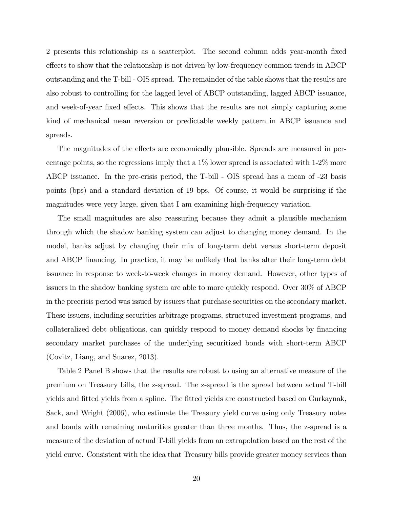2 presents this relationship as a scatterplot. The second column adds year-month Öxed effects to show that the relationship is not driven by low-frequency common trends in ABCP outstanding and the T-bill - OIS spread. The remainder of the table shows that the results are also robust to controlling for the lagged level of ABCP outstanding, lagged ABCP issuance, and week-of-year fixed effects. This shows that the results are not simply capturing some kind of mechanical mean reversion or predictable weekly pattern in ABCP issuance and spreads.

The magnitudes of the effects are economically plausible. Spreads are measured in percentage points, so the regressions imply that a 1% lower spread is associated with 1-2% more ABCP issuance. In the pre-crisis period, the T-bill - OIS spread has a mean of -23 basis points (bps) and a standard deviation of 19 bps. Of course, it would be surprising if the magnitudes were very large, given that I am examining high-frequency variation.

The small magnitudes are also reassuring because they admit a plausible mechanism through which the shadow banking system can adjust to changing money demand. In the model, banks adjust by changing their mix of long-term debt versus short-term deposit and ABCP financing. In practice, it may be unlikely that banks alter their long-term debt issuance in response to week-to-week changes in money demand. However, other types of issuers in the shadow banking system are able to more quickly respond. Over 30% of ABCP in the precrisis period was issued by issuers that purchase securities on the secondary market. These issuers, including securities arbitrage programs, structured investment programs, and collateralized debt obligations, can quickly respond to money demand shocks by financing secondary market purchases of the underlying securitized bonds with short-term ABCP (Covitz, Liang, and Suarez, 2013).

Table 2 Panel B shows that the results are robust to using an alternative measure of the premium on Treasury bills, the z-spread. The z-spread is the spread between actual T-bill yields and fitted yields from a spline. The fitted yields are constructed based on Gurkaynak, Sack, and Wright (2006), who estimate the Treasury yield curve using only Treasury notes and bonds with remaining maturities greater than three months. Thus, the z-spread is a measure of the deviation of actual T-bill yields from an extrapolation based on the rest of the yield curve. Consistent with the idea that Treasury bills provide greater money services than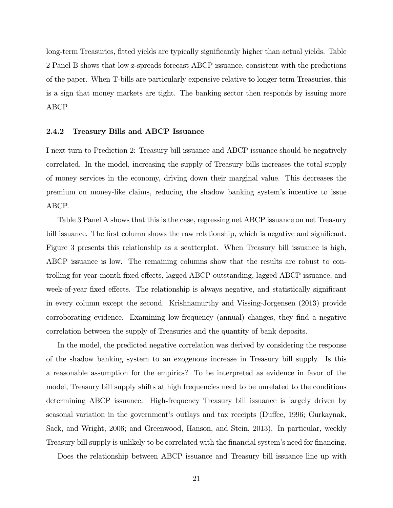long-term Treasuries, fitted yields are typically significantly higher than actual yields. Table 2 Panel B shows that low z-spreads forecast ABCP issuance, consistent with the predictions of the paper. When T-bills are particularly expensive relative to longer term Treasuries, this is a sign that money markets are tight. The banking sector then responds by issuing more ABCP.

#### 2.4.2 Treasury Bills and ABCP Issuance

I next turn to Prediction 2: Treasury bill issuance and ABCP issuance should be negatively correlated. In the model, increasing the supply of Treasury bills increases the total supply of money services in the economy, driving down their marginal value. This decreases the premium on money-like claims, reducing the shadow banking systemís incentive to issue ABCP.

Table 3 Panel A shows that this is the case, regressing net ABCP issuance on net Treasury bill issuance. The first column shows the raw relationship, which is negative and significant. Figure 3 presents this relationship as a scatterplot. When Treasury bill issuance is high, ABCP issuance is low. The remaining columns show that the results are robust to controlling for year-month fixed effects, lagged ABCP outstanding, lagged ABCP issuance, and week-of-year fixed effects. The relationship is always negative, and statistically significant in every column except the second. Krishnamurthy and Vissing-Jorgensen (2013) provide corroborating evidence. Examining low-frequency (annual) changes, they find a negative correlation between the supply of Treasuries and the quantity of bank deposits.

In the model, the predicted negative correlation was derived by considering the response of the shadow banking system to an exogenous increase in Treasury bill supply. Is this a reasonable assumption for the empirics? To be interpreted as evidence in favor of the model, Treasury bill supply shifts at high frequencies need to be unrelated to the conditions determining ABCP issuance. High-frequency Treasury bill issuance is largely driven by seasonal variation in the government's outlays and tax receipts (Duffee, 1996; Gurkaynak, Sack, and Wright, 2006; and Greenwood, Hanson, and Stein, 2013). In particular, weekly Treasury bill supply is unlikely to be correlated with the financial system's need for financing.

Does the relationship between ABCP issuance and Treasury bill issuance line up with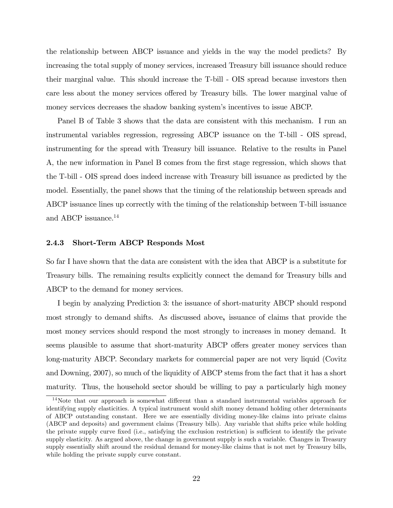the relationship between ABCP issuance and yields in the way the model predicts? By increasing the total supply of money services, increased Treasury bill issuance should reduce their marginal value. This should increase the T-bill - OIS spread because investors then care less about the money services offered by Treasury bills. The lower marginal value of money services decreases the shadow banking system's incentives to issue ABCP.

Panel B of Table 3 shows that the data are consistent with this mechanism. I run an instrumental variables regression, regressing ABCP issuance on the T-bill - OIS spread, instrumenting for the spread with Treasury bill issuance. Relative to the results in Panel A, the new information in Panel B comes from the Örst stage regression, which shows that the T-bill - OIS spread does indeed increase with Treasury bill issuance as predicted by the model. Essentially, the panel shows that the timing of the relationship between spreads and ABCP issuance lines up correctly with the timing of the relationship between T-bill issuance and ABCP issuance.<sup>14</sup>

#### 2.4.3 Short-Term ABCP Responds Most

So far I have shown that the data are consistent with the idea that ABCP is a substitute for Treasury bills. The remaining results explicitly connect the demand for Treasury bills and ABCP to the demand for money services.

I begin by analyzing Prediction 3: the issuance of short-maturity ABCP should respond most strongly to demand shifts. As discussed above, issuance of claims that provide the most money services should respond the most strongly to increases in money demand. It seems plausible to assume that short-maturity ABCP offers greater money services than long-maturity ABCP. Secondary markets for commercial paper are not very liquid (Covitz and Downing, 2007), so much of the liquidity of ABCP stems from the fact that it has a short maturity. Thus, the household sector should be willing to pay a particularly high money

 $14$ Note that our approach is somewhat different than a standard instrumental variables approach for identifying supply elasticities. A typical instrument would shift money demand holding other determinants of ABCP outstanding constant. Here we are essentially dividing money-like claims into private claims (ABCP and deposits) and government claims (Treasury bills). Any variable that shifts price while holding the private supply curve fixed (i.e., satisfying the exclusion restriction) is sufficient to identify the private supply elasticity. As argued above, the change in government supply is such a variable. Changes in Treasury supply essentially shift around the residual demand for money-like claims that is not met by Treasury bills, while holding the private supply curve constant.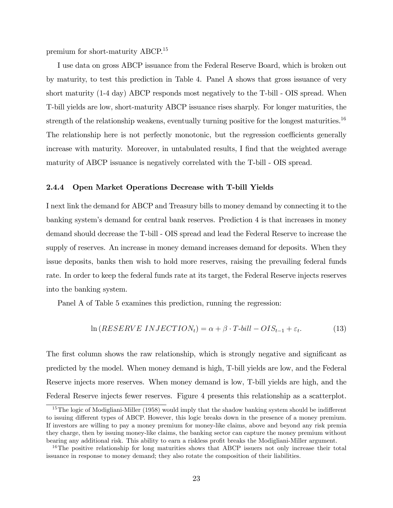premium for short-maturity ABCP.<sup>15</sup>

I use data on gross ABCP issuance from the Federal Reserve Board, which is broken out by maturity, to test this prediction in Table 4. Panel A shows that gross issuance of very short maturity (1-4 day) ABCP responds most negatively to the T-bill - OIS spread. When T-bill yields are low, short-maturity ABCP issuance rises sharply. For longer maturities, the strength of the relationship weakens, eventually turning positive for the longest maturities.<sup>16</sup> The relationship here is not perfectly monotonic, but the regression coefficients generally increase with maturity. Moreover, in untabulated results, I find that the weighted average maturity of ABCP issuance is negatively correlated with the T-bill - OIS spread.

#### 2.4.4 Open Market Operations Decrease with T-bill Yields

I next link the demand for ABCP and Treasury bills to money demand by connecting it to the banking systemís demand for central bank reserves. Prediction 4 is that increases in money demand should decrease the T-bill - OIS spread and lead the Federal Reserve to increase the supply of reserves. An increase in money demand increases demand for deposits. When they issue deposits, banks then wish to hold more reserves, raising the prevailing federal funds rate. In order to keep the federal funds rate at its target, the Federal Reserve injects reserves into the banking system.

Panel A of Table 5 examines this prediction, running the regression:

$$
\ln(RESERVE\ INJECTION_{t}) = \alpha + \beta \cdot T \cdot bill - OIS_{t-1} + \varepsilon_{t}.\tag{13}
$$

The first column shows the raw relationship, which is strongly negative and significant as predicted by the model. When money demand is high, T-bill yields are low, and the Federal Reserve injects more reserves. When money demand is low, T-bill yields are high, and the Federal Reserve injects fewer reserves. Figure 4 presents this relationship as a scatterplot.

 $15$ The logic of Modigliani-Miller (1958) would imply that the shadow banking system should be indifferent to issuing different types of ABCP. However, this logic breaks down in the presence of a money premium. If investors are willing to pay a money premium for money-like claims, above and beyond any risk premia they charge, then by issuing money-like claims, the banking sector can capture the money premium without bearing any additional risk. This ability to earn a riskless profit breaks the Modigliani-Miller argument.

<sup>&</sup>lt;sup>16</sup>The positive relationship for long maturities shows that ABCP issuers not only increase their total issuance in response to money demand; they also rotate the composition of their liabilities.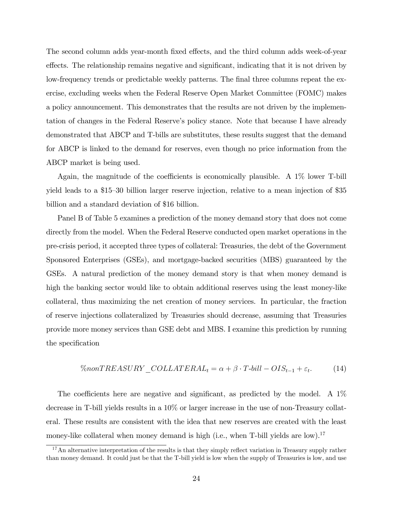The second column adds year-month fixed effects, and the third column adds week-of-year effects. The relationship remains negative and significant, indicating that it is not driven by low-frequency trends or predictable weekly patterns. The final three columns repeat the exercise, excluding weeks when the Federal Reserve Open Market Committee (FOMC) makes a policy announcement. This demonstrates that the results are not driven by the implementation of changes in the Federal Reserve's policy stance. Note that because I have already demonstrated that ABCP and T-bills are substitutes, these results suggest that the demand for ABCP is linked to the demand for reserves, even though no price information from the ABCP market is being used.

Again, the magnitude of the coefficients is economically plausible. A  $1\%$  lower T-bill yield leads to a \$15–30 billion larger reserve injection, relative to a mean injection of \$35 billion and a standard deviation of \$16 billion.

Panel B of Table 5 examines a prediction of the money demand story that does not come directly from the model. When the Federal Reserve conducted open market operations in the pre-crisis period, it accepted three types of collateral: Treasuries, the debt of the Government Sponsored Enterprises (GSEs), and mortgage-backed securities (MBS) guaranteed by the GSEs. A natural prediction of the money demand story is that when money demand is high the banking sector would like to obtain additional reserves using the least money-like collateral, thus maximizing the net creation of money services. In particular, the fraction of reserve injections collateralized by Treasuries should decrease, assuming that Treasuries provide more money services than GSE debt and MBS. I examine this prediction by running the specification

$$
\%nonTREASURY\_COLLATERAL_t = \alpha + \beta \cdot T \cdot bill - OIS_{t-1} + \varepsilon_t. \tag{14}
$$

The coefficients here are negative and significant, as predicted by the model. A  $1\%$ decrease in T-bill yields results in a 10% or larger increase in the use of non-Treasury collateral. These results are consistent with the idea that new reserves are created with the least money-like collateral when money demand is high (i.e., when T-bill yields are low).<sup>17</sup>

 $17$ An alternative interpretation of the results is that they simply reflect variation in Treasury supply rather than money demand. It could just be that the T-bill yield is low when the supply of Treasuries is low, and use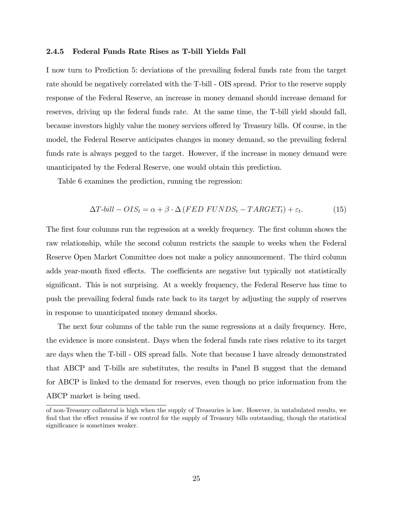#### 2.4.5 Federal Funds Rate Rises as T-bill Yields Fall

I now turn to Prediction 5: deviations of the prevailing federal funds rate from the target rate should be negatively correlated with the T-bill - OIS spread. Prior to the reserve supply response of the Federal Reserve, an increase in money demand should increase demand for reserves, driving up the federal funds rate. At the same time, the T-bill yield should fall, because investors highly value the money services offered by Treasury bills. Of course, in the model, the Federal Reserve anticipates changes in money demand, so the prevailing federal funds rate is always pegged to the target. However, if the increase in money demand were unanticipated by the Federal Reserve, one would obtain this prediction.

Table 6 examines the prediction, running the regression:

$$
\Delta T \text{-} bill - OIS_t = \alpha + \beta \cdot \Delta (FED\ FUNDS_t - TARGET_t) + \varepsilon_t. \tag{15}
$$

The first four columns run the regression at a weekly frequency. The first column shows the raw relationship, while the second column restricts the sample to weeks when the Federal Reserve Open Market Committee does not make a policy announcement. The third column adds year-month fixed effects. The coefficients are negative but typically not statistically significant. This is not surprising. At a weekly frequency, the Federal Reserve has time to push the prevailing federal funds rate back to its target by adjusting the supply of reserves in response to unanticipated money demand shocks.

The next four columns of the table run the same regressions at a daily frequency. Here, the evidence is more consistent. Days when the federal funds rate rises relative to its target are days when the T-bill - OIS spread falls. Note that because I have already demonstrated that ABCP and T-bills are substitutes, the results in Panel B suggest that the demand for ABCP is linked to the demand for reserves, even though no price information from the ABCP market is being used.

of non-Treasury collateral is high when the supply of Treasuries is low. However, in untabulated results, we find that the effect remains if we control for the supply of Treasury bills outstanding, though the statistical significance is sometimes weaker.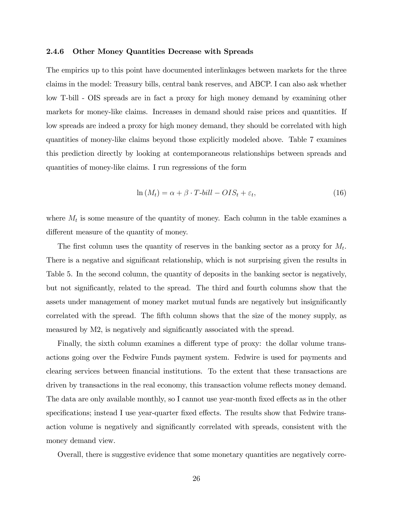#### 2.4.6 Other Money Quantities Decrease with Spreads

The empirics up to this point have documented interlinkages between markets for the three claims in the model: Treasury bills, central bank reserves, and ABCP. I can also ask whether low T-bill - OIS spreads are in fact a proxy for high money demand by examining other markets for money-like claims. Increases in demand should raise prices and quantities. If low spreads are indeed a proxy for high money demand, they should be correlated with high quantities of money-like claims beyond those explicitly modeled above. Table 7 examines this prediction directly by looking at contemporaneous relationships between spreads and quantities of money-like claims. I run regressions of the form

$$
\ln(M_t) = \alpha + \beta \cdot T \cdot \text{bill} - OIS_t + \varepsilon_t,\tag{16}
$$

where  $M_t$  is some measure of the quantity of money. Each column in the table examines a different measure of the quantity of money.

The first column uses the quantity of reserves in the banking sector as a proxy for  $M_t$ . There is a negative and significant relationship, which is not surprising given the results in Table 5. In the second column, the quantity of deposits in the banking sector is negatively, but not significantly, related to the spread. The third and fourth columns show that the assets under management of money market mutual funds are negatively but insignificantly correlated with the spread. The fifth column shows that the size of the money supply, as measured by M2, is negatively and significantly associated with the spread.

Finally, the sixth column examines a different type of proxy: the dollar volume transactions going over the Fedwire Funds payment system. Fedwire is used for payments and clearing services between financial institutions. To the extent that these transactions are driven by transactions in the real economy, this transaction volume reflects money demand. The data are only available monthly, so I cannot use year-month fixed effects as in the other specifications; instead I use year-quarter fixed effects. The results show that Fedwire transaction volume is negatively and significantly correlated with spreads, consistent with the money demand view.

Overall, there is suggestive evidence that some monetary quantities are negatively corre-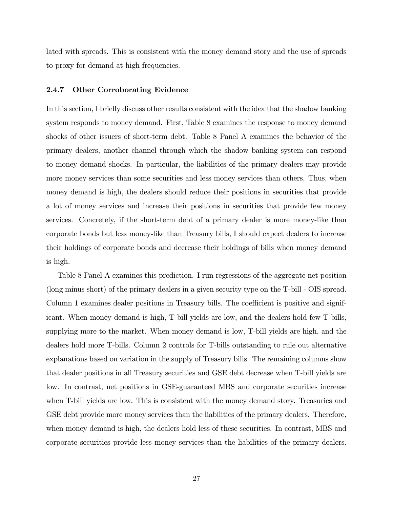lated with spreads. This is consistent with the money demand story and the use of spreads to proxy for demand at high frequencies.

#### 2.4.7 Other Corroborating Evidence

In this section, I briefly discuss other results consistent with the idea that the shadow banking system responds to money demand. First, Table 8 examines the response to money demand shocks of other issuers of short-term debt. Table 8 Panel A examines the behavior of the primary dealers, another channel through which the shadow banking system can respond to money demand shocks. In particular, the liabilities of the primary dealers may provide more money services than some securities and less money services than others. Thus, when money demand is high, the dealers should reduce their positions in securities that provide a lot of money services and increase their positions in securities that provide few money services. Concretely, if the short-term debt of a primary dealer is more money-like than corporate bonds but less money-like than Treasury bills, I should expect dealers to increase their holdings of corporate bonds and decrease their holdings of bills when money demand is high.

Table 8 Panel A examines this prediction. I run regressions of the aggregate net position (long minus short) of the primary dealers in a given security type on the T-bill - OIS spread. Column 1 examines dealer positions in Treasury bills. The coefficient is positive and significant. When money demand is high, T-bill yields are low, and the dealers hold few T-bills, supplying more to the market. When money demand is low, T-bill yields are high, and the dealers hold more T-bills. Column 2 controls for T-bills outstanding to rule out alternative explanations based on variation in the supply of Treasury bills. The remaining columns show that dealer positions in all Treasury securities and GSE debt decrease when T-bill yields are low. In contrast, net positions in GSE-guaranteed MBS and corporate securities increase when T-bill yields are low. This is consistent with the money demand story. Treasuries and GSE debt provide more money services than the liabilities of the primary dealers. Therefore, when money demand is high, the dealers hold less of these securities. In contrast, MBS and corporate securities provide less money services than the liabilities of the primary dealers.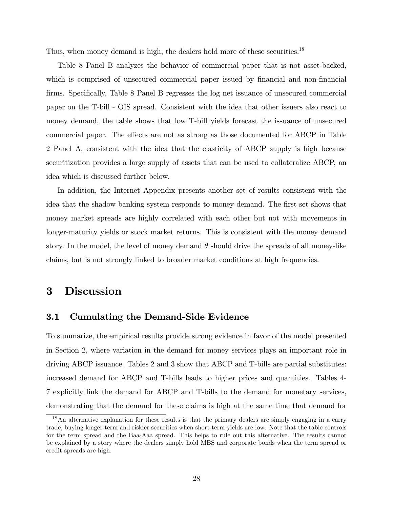Thus, when money demand is high, the dealers hold more of these securities.<sup>18</sup>

Table 8 Panel B analyzes the behavior of commercial paper that is not asset-backed, which is comprised of unsecured commercial paper issued by financial and non-financial firms. Specifically, Table 8 Panel B regresses the log net issuance of unsecured commercial paper on the T-bill - OIS spread. Consistent with the idea that other issuers also react to money demand, the table shows that low T-bill yields forecast the issuance of unsecured commercial paper. The effects are not as strong as those documented for ABCP in Table 2 Panel A, consistent with the idea that the elasticity of ABCP supply is high because securitization provides a large supply of assets that can be used to collateralize ABCP, an idea which is discussed further below.

In addition, the Internet Appendix presents another set of results consistent with the idea that the shadow banking system responds to money demand. The first set shows that money market spreads are highly correlated with each other but not with movements in longer-maturity yields or stock market returns. This is consistent with the money demand story. In the model, the level of money demand  $\theta$  should drive the spreads of all money-like claims, but is not strongly linked to broader market conditions at high frequencies.

# 3 Discussion

## 3.1 Cumulating the Demand-Side Evidence

To summarize, the empirical results provide strong evidence in favor of the model presented in Section 2, where variation in the demand for money services plays an important role in driving ABCP issuance. Tables 2 and 3 show that ABCP and T-bills are partial substitutes: increased demand for ABCP and T-bills leads to higher prices and quantities. Tables 4- 7 explicitly link the demand for ABCP and T-bills to the demand for monetary services, demonstrating that the demand for these claims is high at the same time that demand for

<sup>&</sup>lt;sup>18</sup>An alternative explanation for these results is that the primary dealers are simply engaging in a carry trade, buying longer-term and riskier securities when short-term yields are low. Note that the table controls for the term spread and the Baa-Aaa spread. This helps to rule out this alternative. The results cannot be explained by a story where the dealers simply hold MBS and corporate bonds when the term spread or credit spreads are high.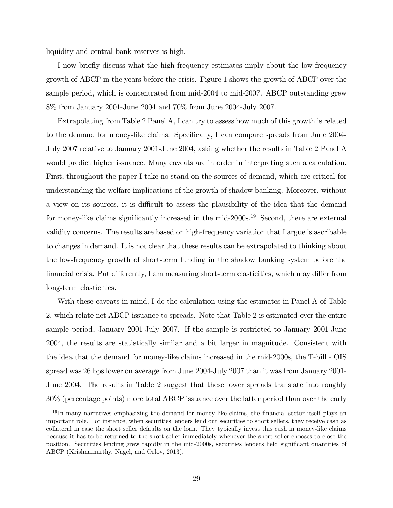liquidity and central bank reserves is high.

I now briefly discuss what the high-frequency estimates imply about the low-frequency growth of ABCP in the years before the crisis. Figure 1 shows the growth of ABCP over the sample period, which is concentrated from mid-2004 to mid-2007. ABCP outstanding grew 8% from January 2001-June 2004 and 70% from June 2004-July 2007.

Extrapolating from Table 2 Panel A, I can try to assess how much of this growth is related to the demand for money-like claims. Specifically, I can compare spreads from June 2004-July 2007 relative to January 2001-June 2004, asking whether the results in Table 2 Panel A would predict higher issuance. Many caveats are in order in interpreting such a calculation. First, throughout the paper I take no stand on the sources of demand, which are critical for understanding the welfare implications of the growth of shadow banking. Moreover, without a view on its sources, it is difficult to assess the plausibility of the idea that the demand for money-like claims significantly increased in the mid- $2000s$ .<sup>19</sup> Second, there are external validity concerns. The results are based on high-frequency variation that I argue is ascribable to changes in demand. It is not clear that these results can be extrapolated to thinking about the low-frequency growth of short-term funding in the shadow banking system before the financial crisis. Put differently, I am measuring short-term elasticities, which may differ from long-term elasticities.

With these caveats in mind, I do the calculation using the estimates in Panel A of Table 2, which relate net ABCP issuance to spreads. Note that Table 2 is estimated over the entire sample period, January 2001-July 2007. If the sample is restricted to January 2001-June 2004, the results are statistically similar and a bit larger in magnitude. Consistent with the idea that the demand for money-like claims increased in the mid-2000s, the T-bill - OIS spread was 26 bps lower on average from June 2004-July 2007 than it was from January 2001- June 2004. The results in Table 2 suggest that these lower spreads translate into roughly 30% (percentage points) more total ABCP issuance over the latter period than over the early

<sup>&</sup>lt;sup>19</sup> In many narratives emphasizing the demand for money-like claims, the financial sector itself plays an important role. For instance, when securities lenders lend out securities to short sellers, they receive cash as collateral in case the short seller defaults on the loan. They typically invest this cash in money-like claims because it has to be returned to the short seller immediately whenever the short seller chooses to close the position. Securities lending grew rapidly in the mid-2000s, securities lenders held significant quantities of ABCP (Krishnamurthy, Nagel, and Orlov, 2013).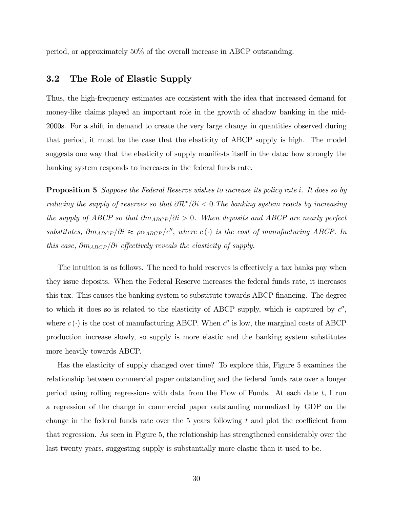period, or approximately 50% of the overall increase in ABCP outstanding.

## 3.2 The Role of Elastic Supply

Thus, the high-frequency estimates are consistent with the idea that increased demand for money-like claims played an important role in the growth of shadow banking in the mid-2000s. For a shift in demand to create the very large change in quantities observed during that period, it must be the case that the elasticity of ABCP supply is high. The model suggests one way that the elasticity of supply manifests itself in the data: how strongly the banking system responds to increases in the federal funds rate.

**Proposition 5** Suppose the Federal Reserve wishes to increase its policy rate i. It does so by reducing the supply of reserves so that  $\partial \mathcal{R}^*/\partial i < 0$ . The banking system reacts by increasing the supply of ABCP so that  $\partial m_{ABCP}/\partial i > 0$ . When deposits and ABCP are nearly perfect substitutes,  $\partial m_{ABCP}/\partial i \approx \rho \alpha_{ABCP}/c''$ , where  $c(\cdot)$  is the cost of manufacturing ABCP. In this case,  $\partial m_{ABCP}/\partial i$  effectively reveals the elasticity of supply.

The intuition is as follows. The need to hold reserves is effectively a tax banks pay when they issue deposits. When the Federal Reserve increases the federal funds rate, it increases this tax. This causes the banking system to substitute towards ABCP financing. The degree to which it does so is related to the elasticity of ABCP supply, which is captured by  $c''$ , where  $c(\cdot)$  is the cost of manufacturing ABCP. When  $c''$  is low, the marginal costs of ABCP production increase slowly, so supply is more elastic and the banking system substitutes more heavily towards ABCP.

Has the elasticity of supply changed over time? To explore this, Figure 5 examines the relationship between commercial paper outstanding and the federal funds rate over a longer period using rolling regressions with data from the Flow of Funds. At each date  $t$ , I run a regression of the change in commercial paper outstanding normalized by GDP on the change in the federal funds rate over the 5 years following  $t$  and plot the coefficient from that regression. As seen in Figure 5, the relationship has strengthened considerably over the last twenty years, suggesting supply is substantially more elastic than it used to be.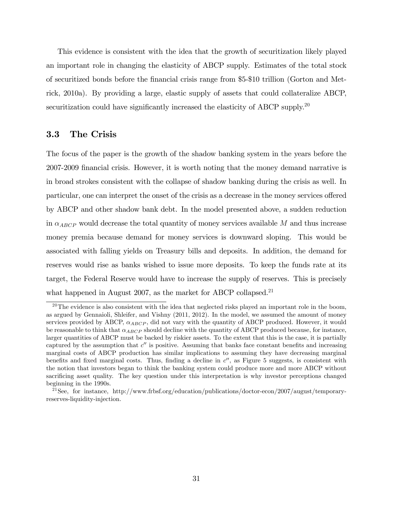This evidence is consistent with the idea that the growth of securitization likely played an important role in changing the elasticity of ABCP supply. Estimates of the total stock of securitized bonds before the Önancial crisis range from \$5-\$10 trillion (Gorton and Metrick, 2010a). By providing a large, elastic supply of assets that could collateralize ABCP, securitization could have significantly increased the elasticity of ABCP supply.<sup>20</sup>

#### 3.3 The Crisis

The focus of the paper is the growth of the shadow banking system in the years before the 2007-2009 financial crisis. However, it is worth noting that the money demand narrative is in broad strokes consistent with the collapse of shadow banking during the crisis as well. In particular, one can interpret the onset of the crisis as a decrease in the money services offered by ABCP and other shadow bank debt. In the model presented above, a sudden reduction in  $\alpha_{ABCP}$  would decrease the total quantity of money services available M and thus increase money premia because demand for money services is downward sloping. This would be associated with falling yields on Treasury bills and deposits. In addition, the demand for reserves would rise as banks wished to issue more deposits. To keep the funds rate at its target, the Federal Reserve would have to increase the supply of reserves. This is precisely what happened in August 2007, as the market for ABCP collapsed. $21$ 

 $^{20}$ The evidence is also consistent with the idea that neglected risks played an important role in the boom, as argued by Gennaioli, Shleifer, and Vishny (2011, 2012). In the model, we assumed the amount of money services provided by ABCP,  $\alpha_{ABCP}$ , did not vary with the quantity of ABCP produced. However, it would be reasonable to think that  $\alpha_{ABCP}$  should decline with the quantity of ABCP produced because, for instance, larger quantities of ABCP must be backed by riskier assets. To the extent that this is the case, it is partially captured by the assumption that  $c''$  is positive. Assuming that banks face constant benefits and increasing marginal costs of ABCP production has similar implications to assuming they have decreasing marginal benefits and fixed marginal costs. Thus, finding a decline in  $c''$ , as Figure 5 suggests, is consistent with the notion that investors began to think the banking system could produce more and more ABCP without sacrificing asset quality. The key question under this interpretation is why investor perceptions changed beginning in the 1990s.

<sup>21</sup>See, for instance, http://www.frbsf.org/education/publications/doctor-econ/2007/august/temporaryreserves-liquidity-injection.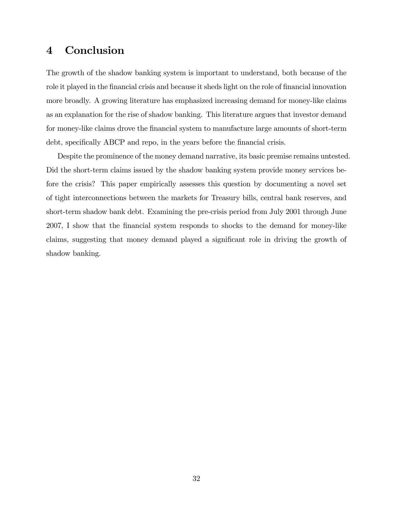# 4 Conclusion

The growth of the shadow banking system is important to understand, both because of the role it played in the financial crisis and because it sheds light on the role of financial innovation more broadly. A growing literature has emphasized increasing demand for money-like claims as an explanation for the rise of shadow banking. This literature argues that investor demand for money-like claims drove the Önancial system to manufacture large amounts of short-term debt, specifically ABCP and repo, in the years before the financial crisis.

Despite the prominence of the money demand narrative, its basic premise remains untested. Did the short-term claims issued by the shadow banking system provide money services before the crisis? This paper empirically assesses this question by documenting a novel set of tight interconnections between the markets for Treasury bills, central bank reserves, and short-term shadow bank debt. Examining the pre-crisis period from July 2001 through June 2007, I show that the Önancial system responds to shocks to the demand for money-like claims, suggesting that money demand played a significant role in driving the growth of shadow banking.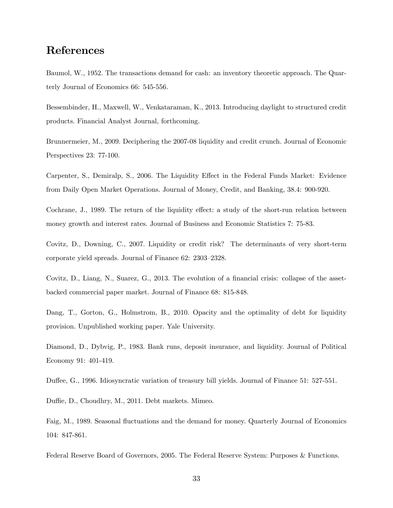# References

Baumol, W., 1952. The transactions demand for cash: an inventory theoretic approach. The Quarterly Journal of Economics 66: 545-556.

Bessembinder, H., Maxwell, W., Venkataraman, K., 2013. Introducing daylight to structured credit products. Financial Analyst Journal, forthcoming.

Brunnermeier, M., 2009. Deciphering the 2007-08 liquidity and credit crunch. Journal of Economic Perspectives 23: 77-100.

Carpenter, S., Demiralp, S., 2006. The Liquidity Effect in the Federal Funds Market: Evidence from Daily Open Market Operations. Journal of Money, Credit, and Banking, 38.4: 900-920.

Cochrane, J., 1989. The return of the liquidity effect: a study of the short-run relation between money growth and interest rates. Journal of Business and Economic Statistics 7: 75-83.

Covitz, D., Downing, C., 2007. Liquidity or credit risk? The determinants of very short-term corporate yield spreads. Journal of Finance  $62: 2303-2328$ .

Covitz, D., Liang, N., Suarez, G., 2013. The evolution of a financial crisis: collapse of the assetbacked commercial paper market. Journal of Finance 68: 815-848.

Dang, T., Gorton, G., Holmstrom, B., 2010. Opacity and the optimality of debt for liquidity provision. Unpublished working paper. Yale University.

Diamond, D., Dybvig, P., 1983. Bank runs, deposit insurance, and liquidity. Journal of Political Economy 91: 401-419.

Duffee, G., 1996. Idiosyncratic variation of treasury bill yields. Journal of Finance 51: 527-551.

Duffie, D., Choudhry, M., 2011. Debt markets. Mimeo.

Faig, M., 1989. Seasonal fluctuations and the demand for money. Quarterly Journal of Economics 104: 847-861.

Federal Reserve Board of Governors, 2005. The Federal Reserve System: Purposes & Functions.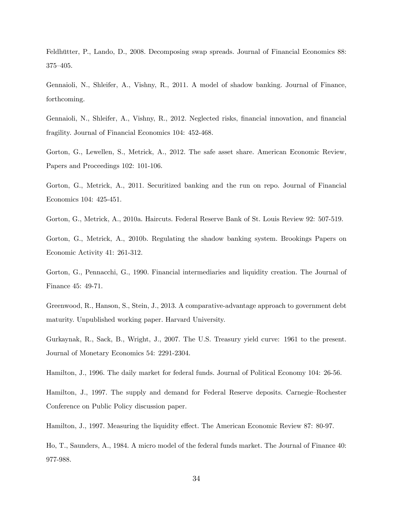Feldhütter, P., Lando, D., 2008. Decomposing swap spreads. Journal of Financial Economics 88: 375–405.

Gennaioli, N., Shleifer, A., Vishny, R., 2011. A model of shadow banking. Journal of Finance, forthcoming.

Gennaioli, N., Shleifer, A., Vishny, R., 2012. Neglected risks, Önancial innovation, and Önancial fragility. Journal of Financial Economics 104: 452-468.

Gorton, G., Lewellen, S., Metrick, A., 2012. The safe asset share. American Economic Review, Papers and Proceedings 102: 101-106.

Gorton, G., Metrick, A., 2011. Securitized banking and the run on repo. Journal of Financial Economics 104: 425-451.

Gorton, G., Metrick, A., 2010a. Haircuts. Federal Reserve Bank of St. Louis Review 92: 507-519.

Gorton, G., Metrick, A., 2010b. Regulating the shadow banking system. Brookings Papers on Economic Activity 41: 261-312.

Gorton, G., Pennacchi, G., 1990. Financial intermediaries and liquidity creation. The Journal of Finance 45: 49-71.

Greenwood, R., Hanson, S., Stein, J., 2013. A comparative-advantage approach to government debt maturity. Unpublished working paper. Harvard University.

Gurkaynak, R., Sack, B., Wright, J., 2007. The U.S. Treasury yield curve: 1961 to the present. Journal of Monetary Economics 54: 2291-2304.

Hamilton, J., 1996. The daily market for federal funds. Journal of Political Economy 104: 26-56.

Hamilton, J., 1997. The supply and demand for Federal Reserve deposits. Carnegie–Rochester Conference on Public Policy discussion paper.

Hamilton, J., 1997. Measuring the liquidity effect. The American Economic Review 87: 80-97.

Ho, T., Saunders, A., 1984. A micro model of the federal funds market. The Journal of Finance 40: 977-988.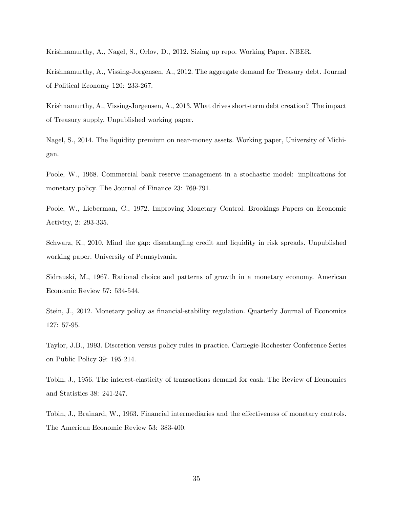Krishnamurthy, A., Nagel, S., Orlov, D., 2012. Sizing up repo. Working Paper. NBER.

Krishnamurthy, A., Vissing-Jorgensen, A., 2012. The aggregate demand for Treasury debt. Journal of Political Economy 120: 233-267.

Krishnamurthy, A., Vissing-Jorgensen, A., 2013. What drives short-term debt creation? The impact of Treasury supply. Unpublished working paper.

Nagel, S., 2014. The liquidity premium on near-money assets. Working paper, University of Michigan.

Poole, W., 1968. Commercial bank reserve management in a stochastic model: implications for monetary policy. The Journal of Finance 23: 769-791.

Poole, W., Lieberman, C., 1972. Improving Monetary Control. Brookings Papers on Economic Activity, 2: 293-335.

Schwarz, K., 2010. Mind the gap: disentangling credit and liquidity in risk spreads. Unpublished working paper. University of Pennsylvania.

Sidrauski, M., 1967. Rational choice and patterns of growth in a monetary economy. American Economic Review 57: 534-544.

Stein, J., 2012. Monetary policy as financial-stability regulation. Quarterly Journal of Economics 127: 57-95.

Taylor, J.B., 1993. Discretion versus policy rules in practice. Carnegie-Rochester Conference Series on Public Policy 39: 195-214.

Tobin, J., 1956. The interest-elasticity of transactions demand for cash. The Review of Economics and Statistics 38: 241-247.

Tobin, J., Brainard, W., 1963. Financial intermediaries and the effectiveness of monetary controls. The American Economic Review 53: 383-400.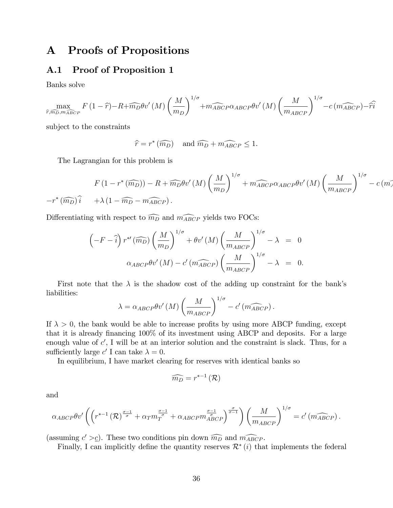# A Proofs of Propositions

## A.1 Proof of Proposition 1

Banks solve

$$
\max_{\widehat{r}, \widehat{m_D}, m_{\widehat{ABC}P}} F(1-\widehat{r}) - R + \widehat{m_D} \theta v'(M) \left(\frac{M}{m_D}\right)^{1/\sigma} + \widehat{m_{ABCP}} \alpha_{ABCP} \theta v'(M) \left(\frac{M}{m_{ABCP}}\right)^{1/\sigma} - c \left(\widehat{m_{ABCP}}\right) - \widehat{r}\widehat{i}
$$

subject to the constraints

$$
\widehat{r} = r^*(\widehat{m_D})
$$
 and  $\widehat{m_D} + \widehat{m_{ABCP}} \le 1$ .

The Lagrangian for this problem is

$$
F(1 - r^*(\widehat{m_D})) - R + \widehat{m_D}\theta v'(M) \left(\frac{M}{m_D}\right)^{1/\sigma} + \widehat{m_{ABCP}\alpha_{ABCP}\theta v'}(M) \left(\frac{M}{m_{ABCP}}\right)^{1/\sigma} - c(m_A^2) = r^*(\widehat{m_D})\widehat{i} \quad + \lambda(1 - \widehat{m_D} - \widehat{m_{ABCP}}).
$$

Differentiating with respect to  $\widehat{m_D}$  and  $\widehat{m_{ABCP}}$  yields two FOCs:

$$
\left(-F - \hat{i}\right)r^{*'}\left(\widehat{m_D}\right)\left(\frac{M}{m_D}\right)^{1/\sigma} + \theta v'\left(M\right)\left(\frac{M}{m_{ABCP}}\right)^{1/\sigma} - \lambda = 0
$$
  

$$
\alpha_{ABCP}\theta v'\left(M\right) - c'\left(\widehat{m_{ABCP}}\right)\left(\frac{M}{m_{ABCP}}\right)^{1/\sigma} - \lambda = 0.
$$

First note that the  $\lambda$  is the shadow cost of the adding up constraint for the bank's liabilities:

$$
\lambda = \alpha_{ABCP} \theta v' (M) \left( \frac{M}{m_{ABCP}} \right)^{1/\sigma} - c' \left( \widehat{m_{ABCP}} \right).
$$

If  $\lambda > 0$ , the bank would be able to increase profits by using more ABCP funding, except that it is already financing  $100\%$  of its investment using ABCP and deposits. For a large enough value of  $c'$ , I will be at an interior solution and the constraint is slack. Thus, for a sufficiently large  $c'$  I can take  $\lambda = 0$ .

In equilibrium, I have market clearing for reserves with identical banks so

$$
\widehat{m_D} = r^{*-1}(\mathcal{R})
$$

and

$$
\alpha_{ABCP}\theta v' \left( \left( r^{*-1} \left( \mathcal{R} \right)^{\frac{\sigma-1}{\sigma}} + \alpha_T m_T^{\frac{\sigma-1}{\sigma}} + \alpha_{ABCP} m_{ABCP}^{\frac{\sigma-1}{\sigma}} \right) \left( \frac{M}{m_{ABCP}} \right)^{1/\sigma} = c' \left( m_{ABCP} \right).
$$

(assuming  $c' > c$ ). These two conditions pin down  $\widehat{m_D}$  and  $\widehat{m_{ABCP}}$ .

Finally, I can implicitly define the quantity reserves  $\mathcal{R}^*(i)$  that implements the federal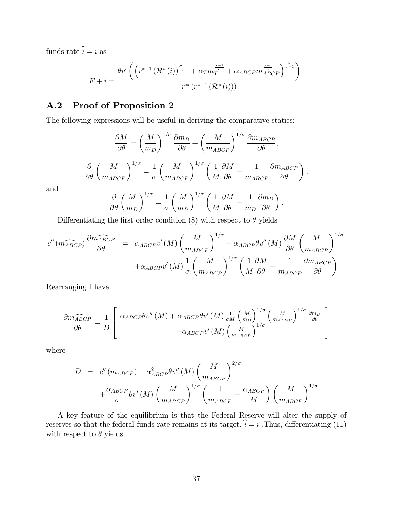funds rate  $\widehat{i} = i$  as

$$
F + i = \frac{\theta v' \left( \left( r^{* - 1} \left( \mathcal{R}^*(i) \right)^{\frac{\sigma - 1}{\sigma}} + \alpha_T m_T^{\frac{\sigma - 1}{\sigma}} + \alpha_{ABCP} m_{ABCP}^{\frac{\sigma - 1}{\sigma}} \right)^{\frac{\sigma}{\sigma - 1}} \right)}{r^{* \prime} \left( r^{* - 1} \left( \mathcal{R}^*(i) \right) \right)}.
$$

## A.2 Proof of Proposition 2

The following expressions will be useful in deriving the comparative statics:

$$
\frac{\partial M}{\partial \theta} = \left(\frac{M}{m_D}\right)^{1/\sigma} \frac{\partial m_D}{\partial \theta} + \left(\frac{M}{m_{ABCP}}\right)^{1/\sigma} \frac{\partial m_{ABCP}}{\partial \theta},
$$

$$
\frac{\partial}{\partial \theta} \left(\frac{M}{m_{ABCP}}\right)^{1/\sigma} = \frac{1}{\sigma} \left(\frac{M}{m_{ABCP}}\right)^{1/\sigma} \left(\frac{1}{M} \frac{\partial M}{\partial \theta} - \frac{1}{m_{ABCP}} \frac{\partial m_{ABCP}}{\partial \theta}\right),
$$

$$
\frac{\partial}{\partial \theta} \left(M\right)^{1/\sigma} = \frac{1}{M} \left(M\right)^{1/\sigma} \left(1 \frac{\partial M}{\partial M} - 1 \frac{\partial m_D}{\partial m_D}\right).
$$

and

$$
\frac{\partial}{\partial \theta} \left( \frac{M}{m_D} \right)^{1/\sigma} = \frac{1}{\sigma} \left( \frac{M}{m_D} \right)^{1/\sigma} \left( \frac{1}{M} \frac{\partial M}{\partial \theta} - \frac{1}{m_D} \frac{\partial m_D}{\partial \theta} \right).
$$

Differentiating the first order condition (8) with respect to  $\theta$  yields

$$
c'' \left( \widehat{m_{ABCP}} \right) \frac{\partial \widehat{m_{ABCP}}}{\partial \theta} = \alpha_{ABCP} v' \left( M \right) \left( \frac{M}{m_{ABCP}} \right)^{1/\sigma} + \alpha_{ABCP} \theta v'' \left( M \right) \frac{\partial M}{\partial \theta} \left( \frac{M}{m_{ABCP}} \right)^{1/\sigma}
$$

$$
+ \alpha_{ABCP} v' \left( M \right) \frac{1}{\sigma} \left( \frac{M}{m_{ABCP}} \right)^{1/\sigma} \left( \frac{1}{M} \frac{\partial M}{\partial \theta} - \frac{1}{m_{ABCP}} \frac{\partial m_{ABCP}}{\partial \theta} \right)
$$

Rearranging I have

$$
\frac{\partial \widehat{m_{ABCP}}}{\partial \theta} = \frac{1}{D} \left[ \begin{array}{c} \alpha_{ABCP} \theta v''(M) + \alpha_{ABCP} \theta v'(M) \frac{1}{\sigma M} \left(\frac{M}{m_D}\right)^{1/\sigma} \left(\frac{M}{m_{ABCP}}\right)^{1/\sigma} \frac{\partial m_D}{\partial \theta} \\ + \alpha_{ABCP} v'(M) \left(\frac{M}{m_{ABCP}}\right)^{1/\sigma} \end{array} \right]
$$

where

$$
D = c'' (m_{ABCP}) - \alpha_{ABCP}^2 \theta v'' (M) \left(\frac{M}{m_{ABCP}}\right)^{2/\sigma}
$$

$$
+ \frac{\alpha_{ABCP}}{\sigma} \theta v' (M) \left(\frac{M}{m_{ABCP}}\right)^{1/\sigma} \left(\frac{1}{m_{ABCP}} - \frac{\alpha_{ABCP}}{M}\right) \left(\frac{M}{m_{ABCP}}\right)^{1/\sigma}
$$

A key feature of the equilibrium is that the Federal Reserve will alter the supply of reserves so that the federal funds rate remains at its target,  $\hat{i} = i$ . Thus, differentiating (11) with respect to  $\theta$  yields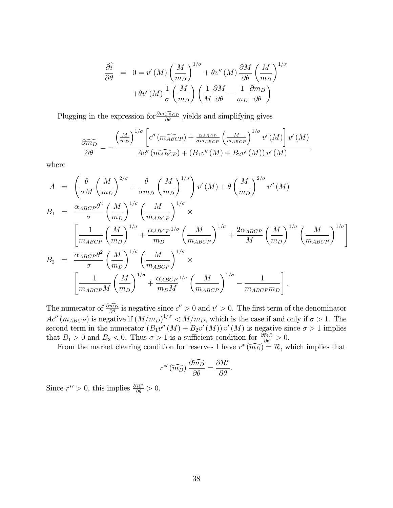$$
\frac{\partial \hat{i}}{\partial \theta} = 0 = v'(M) \left(\frac{M}{m_D}\right)^{1/\sigma} + \theta v''(M) \frac{\partial M}{\partial \theta} \left(\frac{M}{m_D}\right)^{1/\sigma}
$$

$$
+ \theta v'(M) \frac{1}{\sigma} \left(\frac{M}{m_D}\right) \left(\frac{1}{M} \frac{\partial M}{\partial \theta} - \frac{1}{m_D} \frac{\partial m_D}{\partial \theta}\right)
$$

Plugging in the expression for  $\frac{\partial m_{ABCP}}{\partial \theta}$  yields and simplifying gives

$$
\frac{\partial \widehat{m_D}}{\partial \theta} = -\frac{\left(\frac{M}{m_D}\right)^{1/\sigma} \left[c''\left(m_{ABCP}^{\sigma}\right) + \frac{\alpha_{ABCP}}{\sigma m_{ABCP}} \left(\frac{M}{m_{ABCP}}\right)^{1/\sigma} v'\left(M\right)\right] v'\left(M\right)}{Ac''\left(m_{ABCP}^{\sigma}\right) + \left(B_1 v''\left(M\right) + B_2 v'\left(M\right)\right) v'\left(M\right)},
$$

where

$$
A = \left(\frac{\theta}{\sigma M} \left(\frac{M}{m_D}\right)^{2/\sigma} - \frac{\theta}{\sigma m_D} \left(\frac{M}{m_D}\right)^{1/\sigma}\right) v'(M) + \theta \left(\frac{M}{m_D}\right)^{2/\sigma} v''(M)
$$
  
\n
$$
B_1 = \frac{\alpha_{ABCP}\theta^2}{\sigma} \left(\frac{M}{m_D}\right)^{1/\sigma} \left(\frac{M}{m_{ABCP}}\right)^{1/\sigma} \times \left[\frac{1}{m_{ABCP}} \left(\frac{M}{m_D}\right)^{1/\sigma} + \frac{\alpha_{ABCP}}{m_D} \frac{1/\sigma}{\sigma} \left(\frac{M}{m_{ABCP}}\right)^{1/\sigma} + \frac{2\alpha_{ABCP}}{M} \left(\frac{M}{m_D}\right)^{1/\sigma} \left(\frac{M}{m_{ABCP}}\right)^{1/\sigma}\right]
$$
  
\n
$$
B_2 = \frac{\alpha_{ABCP}\theta^2}{\sigma} \left(\frac{M}{m_D}\right)^{1/\sigma} \left(\frac{M}{m_{ABCP}}\right)^{1/\sigma} \times \left[\frac{1}{m_{ABCP}M} \left(\frac{M}{m_D}\right)^{1/\sigma} + \frac{\alpha_{ABCP}}{m_DM} \left(\frac{M}{m_{ABCP}}\right)^{1/\sigma} - \frac{1}{m_{ABCP}m_D}.
$$

The numerator of  $\frac{\partial \widehat{m_D}}{\partial \theta}$  is negative since  $c'' > 0$  and  $v' > 0$ . The first term of the denominator  $Ac''(m_{ABCP})$  is negative if  $(M/m_D)^{1/\sigma} < M/m_D$ , which is the case if and only if  $\sigma > 1$ . The second term in the numerator  $(B_1v''(M) + B_2v'(M))v'(M)$  is negative since  $\sigma > 1$  implies that  $B_1 > 0$  and  $B_2 < 0$ . Thus  $\sigma > 1$  is a sufficient condition for  $\frac{\partial \widehat{m_D}}{\partial \theta} > 0$ .

From the market clearing condition for reserves I have  $r^*(\widehat{m_D}) = \mathcal{R}$ , which implies that

$$
r^{*'}\left(\widehat{m_D}\right)\frac{\partial \widehat{m_D}}{\partial \theta} = \frac{\partial \mathcal{R}^*}{\partial \theta}.
$$

Since  $r^{*'} > 0$ , this implies  $\frac{\partial \mathcal{R}^*}{\partial \theta} > 0$ .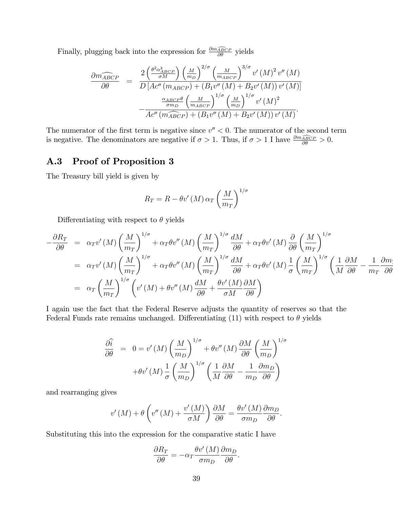Finally, plugging back into the expression for  $\frac{\partial m_{ABCP}}{\partial \theta}$  yields

$$
\frac{\partial \widehat{m_{ABCP}}}{\partial \theta} = \frac{2 \left(\frac{\theta^2 \alpha_{ABCP}^3}{\sigma M}\right) \left(\frac{M}{m_D}\right)^{2/\sigma} \left(\frac{M}{m_{ABCP}}\right)^{3/\sigma} v'(M)^2 v''(M)}{D \left[ Ac'' \left( m_{ABCP} \right) + \left( B_1 v'' \left( M \right) + B_2 v'(M) \right) v'(M) \right]} - \frac{\alpha_{ABCP}\theta}{\sigma m_D} \left(\frac{M}{m_{ABCP}}\right)^{1/\sigma} \left(\frac{M}{m_D}\right)^{1/\sigma} v'(M)^2 - AC'' \left( \widehat{m_{ABCP}} \right) + \left( B_1 v'' \left( M \right) + B_2 v'(M) \right) v'(M).
$$

The numerator of the first term is negative since  $v'' < 0$ . The numerator of the second term is negative. The denominators are negative if  $\sigma > 1$ . Thus, if  $\sigma > 1$  I have  $\frac{\partial m_{\widehat{ABC}P}}{\partial \theta} > 0$ .

## A.3 Proof of Proposition 3

The Treasury bill yield is given by

$$
R_T = R - \theta v' (M) \alpha_T \left(\frac{M}{m_T}\right)^{1/\sigma}
$$

Differentiating with respect to  $\theta$  yields

$$
-\frac{\partial R_T}{\partial \theta} = \alpha_T v'(M) \left(\frac{M}{m_T}\right)^{1/\sigma} + \alpha_T \theta v''(M) \left(\frac{M}{m_T}\right)^{1/\sigma} \frac{dM}{\partial \theta} + \alpha_T \theta v'(M) \frac{\partial}{\partial \theta} \left(\frac{M}{m_T}\right)^{1/\sigma}
$$
  
\n
$$
= \alpha_T v'(M) \left(\frac{M}{m_T}\right)^{1/\sigma} + \alpha_T \theta v''(M) \left(\frac{M}{m_T}\right)^{1/\sigma} \frac{dM}{\partial \theta} + \alpha_T \theta v'(M) \frac{1}{\sigma} \left(\frac{M}{m_T}\right)^{1/\sigma} \left(\frac{1}{M} \frac{\partial M}{\partial \theta} - \frac{1}{m_T} \frac{\partial m_T}{\partial \theta} \right)
$$
  
\n
$$
= \alpha_T \left(\frac{M}{m_T}\right)^{1/\sigma} \left(v'(M) + \theta v''(M) \frac{dM}{\partial \theta} + \frac{\theta v'(M)}{\sigma M} \frac{\partial M}{\partial \theta}\right)
$$

I again use the fact that the Federal Reserve adjusts the quantity of reserves so that the Federal Funds rate remains unchanged. Differentiating (11) with respect to  $\theta$  yields

$$
\frac{\partial \hat{i}}{\partial \theta} = 0 = v'(M) \left(\frac{M}{m_D}\right)^{1/\sigma} + \theta v''(M) \frac{\partial M}{\partial \theta} \left(\frac{M}{m_D}\right)^{1/\sigma}
$$

$$
+ \theta v'(M) \frac{1}{\sigma} \left(\frac{M}{m_D}\right)^{1/\sigma} \left(\frac{1}{M} \frac{\partial M}{\partial \theta} - \frac{1}{m_D} \frac{\partial m_D}{\partial \theta}\right)
$$

and rearranging gives

$$
v'(M) + \theta \left( v''(M) + \frac{v'(M)}{\sigma M} \right) \frac{\partial M}{\partial \theta} = \frac{\theta v'(M)}{\sigma m_D} \frac{\partial m_D}{\partial \theta}.
$$

Substituting this into the expression for the comparative static I have

$$
\frac{\partial R_T}{\partial \theta} = -\alpha_T \frac{\theta v'(M)}{\sigma m_D} \frac{\partial m_D}{\partial \theta}.
$$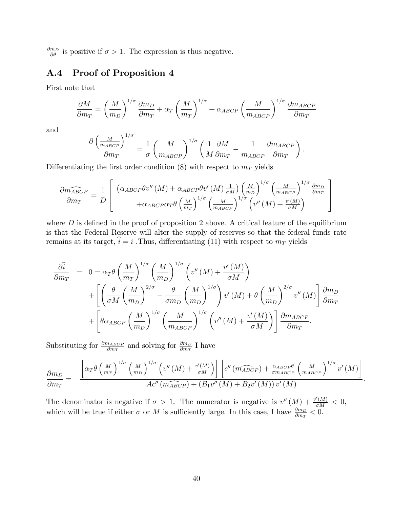$\frac{\partial m_D}{\partial \theta}$  is positive if  $\sigma > 1$ . The expression is thus negative.

## A.4 Proof of Proposition 4

First note that

$$
\frac{\partial M}{\partial m_T} = \left(\frac{M}{m_D}\right)^{1/\sigma} \frac{\partial m_D}{\partial m_T} + \alpha_T \left(\frac{M}{m_T}\right)^{1/\sigma} + \alpha_{ABCP} \left(\frac{M}{m_{ABCP}}\right)^{1/\sigma} \frac{\partial m_{ABCP}}{\partial m_T}
$$

and

$$
\frac{\partial \left(\frac{M}{m_{ABCP}}\right)^{1/\sigma}}{\partial m_T} = \frac{1}{\sigma} \left(\frac{M}{m_{ABCP}}\right)^{1/\sigma} \left(\frac{1}{M} \frac{\partial M}{\partial m_T} - \frac{1}{m_{ABCP}} \frac{\partial m_{ABCP}}{\partial m_T}\right).
$$

Differentiating the first order condition (8) with respect to  $m<sub>T</sub>$  yields

$$
\frac{\partial m_{ABCP}}{\partial m_T} = \frac{1}{D} \left[ \begin{array}{c} \left( \alpha_{ABCP} \theta v''(M) + \alpha_{ABCP} \theta v'(M) \frac{1}{\sigma M} \right) \left( \frac{M}{m_D} \right)^{1/\sigma} \left( \frac{M}{m_{ABCP}} \right)^{1/\sigma} \frac{\partial m_D}{\partial m_T} \\ + \alpha_{ABCP} \alpha_T \theta \left( \frac{M}{m_T} \right)^{1/\sigma} \left( \frac{M}{m_{ABCP}} \right)^{1/\sigma} \left( v''(M) + \frac{v'(M)}{\sigma M} \right) \end{array} \right]
$$

where  $D$  is defined in the proof of proposition 2 above. A critical feature of the equilibrium is that the Federal Reserve will alter the supply of reserves so that the federal funds rate remains at its target,  $\hat{i} = i$ . Thus, differentiating (11) with respect to  $m_T$  yields

$$
\frac{\partial \hat{i}}{\partial m_T} = 0 = \alpha_T \theta \left(\frac{M}{m_T}\right)^{1/\sigma} \left(\frac{M}{m_D}\right)^{1/\sigma} \left(v''(M) + \frac{v'(M)}{\sigma M}\right) \n+ \left[\left(\frac{\theta}{\sigma M} \left(\frac{M}{m_D}\right)^{2/\sigma} - \frac{\theta}{\sigma m_D} \left(\frac{M}{m_D}\right)^{1/\sigma}\right) v'(M) + \theta \left(\frac{M}{m_D}\right)^{2/\sigma} v''(M)\right] \frac{\partial m_D}{\partial m_T} \n+ \left[\theta \alpha_{ABCP} \left(\frac{M}{m_D}\right)^{1/\sigma} \left(\frac{M}{m_{ABCP}}\right)^{1/\sigma} \left(v''(M) + \frac{v'(M)}{\sigma M}\right)\right] \frac{\partial m_{ABCP}}{\partial m_T}.
$$

Substituting for  $\frac{\partial m_{ABCP}}{\partial m_T}$  and solving for  $\frac{\partial m_D}{\partial m_T}$  I have

$$
\frac{\partial m_D}{\partial m_T} = -\frac{\left[\alpha_T \theta \left(\frac{M}{m_T}\right)^{1/\sigma} \left(\frac{M}{m_D}\right)^{1/\sigma} \left(v''\left(M\right) + \frac{v'(M)}{\sigma M}\right)\right] \left[c''\left(m_{ABCP}^{\widehat{C}}\right) + \frac{\alpha_{ABCP}\theta}{\sigma_{MABCP}} \left(\frac{M}{m_{ABCP}}\right)^{1/\sigma} v'\left(M\right)\right]}{Ac''\left(m_{ABCP}^{\widehat{C}}\right) + \left(B_1 v''\left(M\right) + B_2 v'\left(M\right)\right) v'\left(M\right)}
$$

:

The denominator is negative if  $\sigma > 1$ . The numerator is negative is  $v''(M) + \frac{v'(M)}{\sigma M} < 0$ , which will be true if either  $\sigma$  or M is sufficiently large. In this case, I have  $\frac{\partial m_D}{\partial m_T} < 0$ .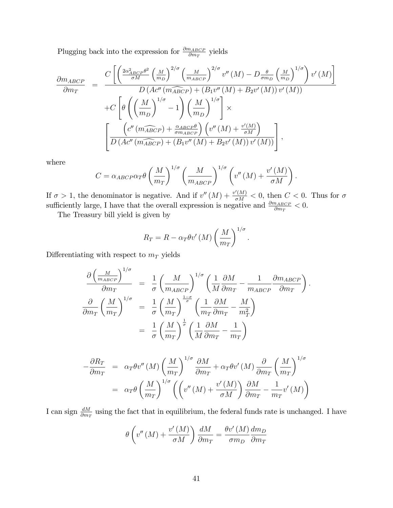Plugging back into the expression for  $\frac{\partial m_{ABCP}}{\partial m_T}$  yields

$$
\frac{\partial m_{ABCP}}{\partial m_T} = \frac{C \left[ \left( \frac{2\alpha_{ABCP}^2 \theta^2}{\sigma M} \left( \frac{M}{m_D} \right)^{2/\sigma} \left( \frac{M}{m_{ABCP}} \right)^{2/\sigma} v''(M) - D \frac{\theta}{\sigma m_D} \left( \frac{M}{m_D} \right)^{1/\sigma} \right) v'(M) \right]}{D \left( Ac'' \left( \widehat{m_{BCP}} \right) + \left( B_1 v''(M) + B_2 v'(M) \right) v'(M) \right)}
$$

$$
+ C \left[ \theta \left( \left( \frac{M}{m_D} \right)^{1/\sigma} - 1 \right) \left( \frac{M}{m_D} \right)^{1/\sigma} \right] \times
$$

$$
\left[ \frac{\left( c'' \left( \widehat{m_{ABCP}} \right) + \frac{\alpha_{ABCP}\theta}{\sigma m_{ABCP}} \right) \left( v''(M) + \frac{v'(M)}{\sigma M} \right)}{D \left( Ac'' \left( \widehat{m_{ABCP}} \right) + \left( B_1 v''(M) + B_2 v'(M) \right) v'(M) \right)} \right],
$$

where

$$
C = \alpha_{ABCP} \alpha_T \theta \left(\frac{M}{m_T}\right)^{1/\sigma} \left(\frac{M}{m_{ABCP}}\right)^{1/\sigma} \left(v''\left(M\right) + \frac{v'\left(M\right)}{\sigma M}\right).
$$

If  $\sigma > 1$ , the denominator is negative. And if  $v''(M) + \frac{v'(M)}{\sigma M} < 0$ , then  $C < 0$ . Thus for  $\sigma$ sufficiently large, I have that the overall expression is negative and  $\frac{\partial m_{ABCP}}{\partial m_T} < 0$ .

The Treasury bill yield is given by

$$
R_T = R - \alpha_T \theta v' (M) \left(\frac{M}{m_T}\right)^{1/\sigma}
$$

:

:

Differentiating with respect to  $m<sub>T</sub>$  yields

$$
\frac{\partial \left(\frac{M}{m_{ABCP}}\right)^{1/\sigma}}{\partial m_T} = \frac{1}{\sigma} \left(\frac{M}{m_{ABCP}}\right)^{1/\sigma} \left(\frac{1}{M} \frac{\partial M}{\partial m_T} - \frac{1}{m_{ABCP}} \frac{\partial m_{ABCP}}{\partial m_T}\right)
$$

$$
\frac{\partial}{\partial m_T} \left(\frac{M}{m_T}\right)^{1/\sigma} = \frac{1}{\sigma} \left(\frac{M}{m_T}\right)^{\frac{1-\sigma}{\sigma}} \left(\frac{1}{m_T} \frac{\partial M}{\partial m_T} - \frac{M}{m_T^2}\right)
$$

$$
= \frac{1}{\sigma} \left(\frac{M}{m_T}\right)^{\frac{1}{\sigma}} \left(\frac{1}{M} \frac{\partial M}{\partial m_T} - \frac{1}{m_T}\right)
$$

$$
-\frac{\partial R_T}{\partial m_T} = \alpha_T \theta v''(M) \left(\frac{M}{m_T}\right)^{1/\sigma} \frac{\partial M}{\partial m_T} + \alpha_T \theta v'(M) \frac{\partial}{\partial m_T} \left(\frac{M}{m_T}\right)^{1/\sigma}
$$
  
=  $\alpha_T \theta \left(\frac{M}{m_T}\right)^{1/\sigma} \left(\left(v''(M) + \frac{v'(M)}{\sigma M}\right) \frac{\partial M}{\partial m_T} - \frac{1}{m_T} v'(M)\right)$ 

I can sign  $\frac{dM}{dm_T}$  using the fact that in equilibrium, the federal funds rate is unchanged. I have

$$
\theta \left( v''\left( M \right) + \frac{v'\left( M \right)}{\sigma M} \right) \frac{dM}{\partial m_T} = \frac{\theta v'\left( M \right)}{\sigma m_D} \frac{dm_D}{\partial m_T}
$$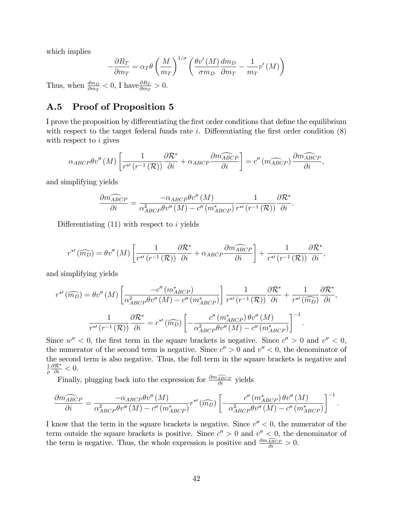which implies

$$
-\frac{\partial R_T}{\partial m_T} = \alpha_T \theta \left(\frac{M}{m_T}\right)^{1/\sigma} \left(\frac{\theta v'(M)}{\sigma m_D} \frac{dm_D}{\partial m_T} - \frac{1}{m_T} v'(M)\right)
$$

Thus, when  $\frac{dm_D}{\partial m_T} < 0$ , I have  $\frac{\partial R_T}{\partial m_T} > 0$ .

# A.5 Proof of Proposition 5

I prove the proposition by differentiating the first order conditions that define the equilibrium with respect to the target federal funds rate i. Differentiating the first order condition  $(8)$ with respect to  $i$  gives

$$
\alpha_{ABCP}\theta v''(M)\left[\frac{1}{r^{*'}(r^{-1}(\mathcal{R}))}\frac{\partial \mathcal{R}^*}{\partial i} + \alpha_{ABCP}\frac{\partial \widehat{m_{ABCP}}}{\partial i}\right] = c''(\widehat{m_{ABCP}})\frac{\partial \widehat{m_{ABCP}}}{\partial i},
$$

and simplifying yields

$$
\frac{\partial m_{ABCP}}{\partial i} = \frac{-\alpha_{ABCP}\theta v''(M)}{\alpha_{ABCP}^2 \theta v''(M) - c''(m_{ABCP}^*)} \frac{1}{r^{*'}(r^{-1}(\mathcal{R}))} \frac{\partial \mathcal{R}^*}{\partial i}.
$$

Differentiating  $(11)$  with respect to i yields

$$
r^{*'}(\widehat{m_D}) = \theta v''(M) \left[ \frac{1}{r^{*'}(r^{-1}(\mathcal{R}))} \frac{\partial \mathcal{R}^*}{\partial i} + \alpha_{ABCP} \frac{\partial \widehat{m_{ABCP}}}{\partial i} \right] + \frac{1}{r^{*'}(r^{-1}(\mathcal{R}))} \frac{\partial \mathcal{R}^*}{\partial i},
$$

and simplifying yields

$$
r^{*'}(\widehat{m_D}) = \theta v''(M) \left[ \frac{-c''(m^*_{ABCP})}{\alpha^2_{ABCP} \theta v''(M) - c''(m^*_{ABCP})} \right] \frac{1}{r^{*'}(r^{-1}(\mathcal{R}))} \frac{\partial \mathcal{R}^*}{\partial i} + \frac{1}{r^{*'}(\widehat{m_D})} \frac{\partial \mathcal{R}^*}{\partial i},
$$

$$
\frac{1}{r^{*'}(r^{-1}(\mathcal{R}))} \frac{\partial \mathcal{R}^*}{\partial i} = r^{*'}(\widehat{m_D}) \left[ -\frac{c''(m^*_{ABCP}) \theta v''(M)}{\alpha^2_{ABCP} \theta v''(M) - c''(m^*_{ABCP})} \right]^{-1}.
$$

Since  $w'' < 0$ , the first term in the square brackets is negative. Since  $c'' > 0$  and  $v'' < 0$ , the numerator of the second term is negative. Since  $c'' > 0$  and  $v'' < 0$ , the denominator of the second term is also negative. Thus, the full term in the square brackets is negative and 1  $\frac{1}{\rho} \frac{\partial \mathcal{R}^*}{\partial i} < 0.$ 

Finally, plugging back into the expression for  $\frac{\partial m_{ABCP}}{\partial i}$  yields

$$
\frac{\partial \widehat{m_{ABCP}}}{\partial i} = \frac{-\alpha_{ABCP}\theta v''(M)}{\alpha_{ABCP}^2 \theta v''(M) - c''(m_{ABCP}^*)} r^{*\prime}(\widehat{m_D}) \left[ -\frac{c''(m_{ABCP}^*) \theta v''(M)}{\alpha_{ABCP}^2 \theta v''(M) - c''(m_{ABCP}^*)} \right]^{-1}.
$$

I know that the term in the square brackets is negative. Since  $v'' < 0$ , the numerator of the term outside the square brackets is positive. Since  $c'' > 0$  and  $v'' < 0$ , the denominator of the term is negative. Thus, the whole expression is positive and  $\frac{\partial m_{ABCP}}{\partial i} > 0$ .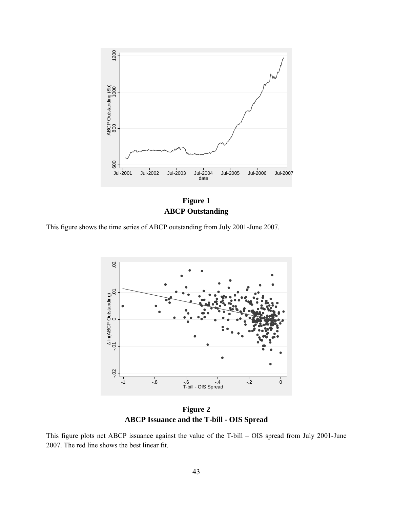



This figure shows the time series of ABCP outstanding from July 2001-June 2007.



**Figure 2 ABCP Issuance and the T-bill - OIS Spread** 

This figure plots net ABCP issuance against the value of the T-bill – OIS spread from July 2001-June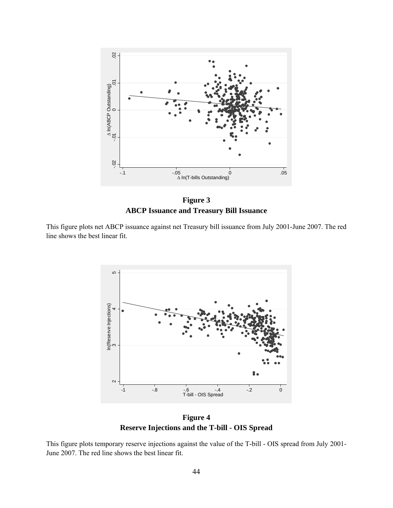

**Figure 3 ABCP Issuance and Treasury Bill Issuance** 

This figure plots net ABCP issuance against net Treasury bill issuance from July 2001-June 2007. The red line shows the best linear fit.



**Figure 4 Reserve Injections and the T-bill - OIS Spread** 

This figure plots temporary reserve injections against the value of the T-bill - OIS spread from July 2001-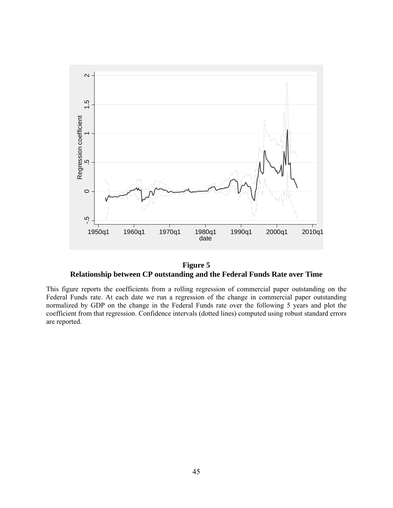

**Figure 5 Relationship between CP outstanding and the Federal Funds Rate over Time** 

This figure reports the coefficients from a rolling regression of commercial paper outstanding on the Federal Funds rate. At each date we run a regression of the change in commercial paper outstanding normalized by GDP on the change in the Federal Funds rate over the following 5 years and plot the coefficient from that regression. Confidence intervals (dotted lines) computed using robust standard errors are reported.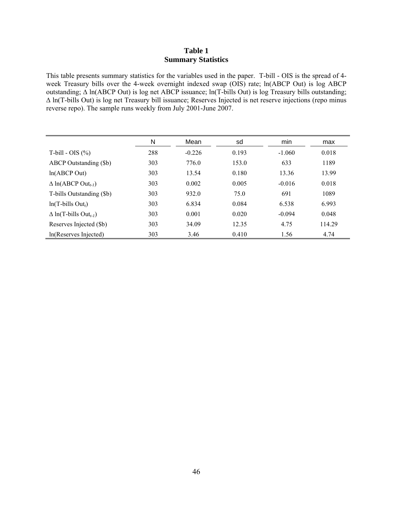## **Table 1 Summary Statistics**

This table presents summary statistics for the variables used in the paper. T-bill - OIS is the spread of 4 week Treasury bills over the 4-week overnight indexed swap (OIS) rate; ln(ABCP Out) is log ABCP outstanding; ∆ ln(ABCP Out) is log net ABCP issuance; ln(T-bills Out) is log Treasury bills outstanding; ∆ ln(T-bills Out) is log net Treasury bill issuance; Reserves Injected is net reserve injections (repo minus reverse repo). The sample runs weekly from July 2001-June 2007.

|                                          | N   | Mean     | sd    | min      | max    |
|------------------------------------------|-----|----------|-------|----------|--------|
| T-bill - OIS $(\%)$                      | 288 | $-0.226$ | 0.193 | $-1.060$ | 0.018  |
| ABCP Outstanding (\$b)                   | 303 | 776.0    | 153.0 | 633      | 1189   |
| ln(ABCP Out)                             | 303 | 13.54    | 0.180 | 13.36    | 13.99  |
| $\Delta$ ln(ABCP Out <sub>t-1</sub> )    | 303 | 0.002    | 0.005 | $-0.016$ | 0.018  |
| T-bills Outstanding (\$b)                | 303 | 932.0    | 75.0  | 691      | 1089   |
| $ln(T$ -bills Out <sub>t</sub> )         | 303 | 6.834    | 0.084 | 6.538    | 6.993  |
| $\Delta$ ln(T-bills Out <sub>t-1</sub> ) | 303 | 0.001    | 0.020 | $-0.094$ | 0.048  |
| Reserves Injected (\$b)                  | 303 | 34.09    | 12.35 | 4.75     | 114.29 |
| In(Reserves Injected)                    | 303 | 3.46     | 0.410 | 1.56     | 4.74   |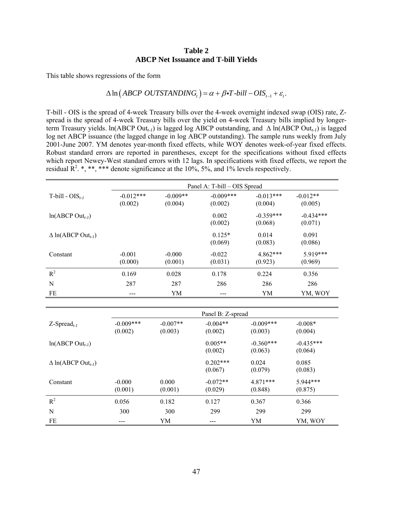#### **Table 2 ABCP Net Issuance and T-bill Yields**

This table shows regressions of the form

## $\Delta \ln (ABCP$  *OUTSTANDING*,  $= \alpha + \beta \cdot T$ -bill  $- OIS$ <sub>*t*-1</sub> +  $\varepsilon$ <sub>r</sub>.

T-bill - OIS is the spread of 4-week Treasury bills over the 4-week overnight indexed swap (OIS) rate, Zspread is the spread of 4-week Treasury bills over the yield on 4-week Treasury bills implied by longerterm Treasury yields. ln(ABCP Out*t-1*) is lagged log ABCP outstanding, and ∆ ln(ABCP Out*t-1*) is lagged log net ABCP issuance (the lagged change in log ABCP outstanding). The sample runs weekly from July 2001-June 2007. YM denotes year-month fixed effects, while WOY denotes week-of-year fixed effects. Robust standard errors are reported in parentheses, except for the specifications without fixed effects which report Newey-West standard errors with 12 lags. In specifications with fixed effects, we report the residual  $\mathbb{R}^2$ . \*, \*\*\* denote significance at the 10%, 5%, and 1% levels respectively.

|                                       | Panel A: T-bill – OIS Spread |                       |                         |                        |                        |  |  |  |
|---------------------------------------|------------------------------|-----------------------|-------------------------|------------------------|------------------------|--|--|--|
| T-bill - $OIS_{t-1}$                  | $-0.012***$<br>(0.002)       | $-0.009**$<br>(0.004) | $-0.009$ ***<br>(0.002) | $-0.013***$<br>(0.004) | $-0.012**$<br>(0.005)  |  |  |  |
| $ln(ABCP Out_{t-1})$                  |                              |                       | 0.002<br>(0.002)        | $-0.359***$<br>(0.068) | $-0.434***$<br>(0.071) |  |  |  |
| $\Delta$ ln(ABCP Out <sub>t-1</sub> ) |                              |                       | $0.125*$<br>(0.069)     | 0.014<br>(0.083)       | 0.091<br>(0.086)       |  |  |  |
| Constant                              | $-0.001$<br>(0.000)          | $-0.000$<br>(0.001)   | $-0.022$<br>(0.031)     | $4.862***$<br>(0.923)  | $5.919***$<br>(0.969)  |  |  |  |
| $R^2$                                 | 0.169                        | 0.028                 | 0.178                   | 0.224                  | 0.356                  |  |  |  |
| N                                     | 287                          | 287                   | 286                     | 286                    | 286                    |  |  |  |
| FE                                    | ---                          | YM                    | ---                     | YM                     | YM, WOY                |  |  |  |

|                                       | Panel B: Z-spread      |                       |                       |                         |                        |  |
|---------------------------------------|------------------------|-----------------------|-----------------------|-------------------------|------------------------|--|
| $Z$ -Spread <sub>t-1</sub>            | $-0.009***$<br>(0.002) | $-0.007**$<br>(0.003) | $-0.004**$<br>(0.002) | $-0.009$ ***<br>(0.003) | $-0.008*$<br>(0.004)   |  |
| $ln(ABCP Out_{t-1})$                  |                        |                       | $0.005**$<br>(0.002)  | $-0.360***$<br>(0.063)  | $-0.435***$<br>(0.064) |  |
| $\Delta$ ln(ABCP Out <sub>t-1</sub> ) |                        |                       | $0.202***$<br>(0.067) | 0.024<br>(0.079)        | 0.085<br>(0.083)       |  |
| Constant                              | $-0.000$<br>(0.001)    | 0.000<br>(0.001)      | $-0.072**$<br>(0.029) | $4.871***$<br>(0.848)   | $5.944***$<br>(0.875)  |  |
| $R^2$                                 | 0.056                  | 0.182                 | 0.127                 | 0.367                   | 0.366                  |  |
| N                                     | 300                    | 300                   | 299                   | 299                     | 299                    |  |
| FE                                    |                        | YM                    | ---                   | YM                      | YM, WOY                |  |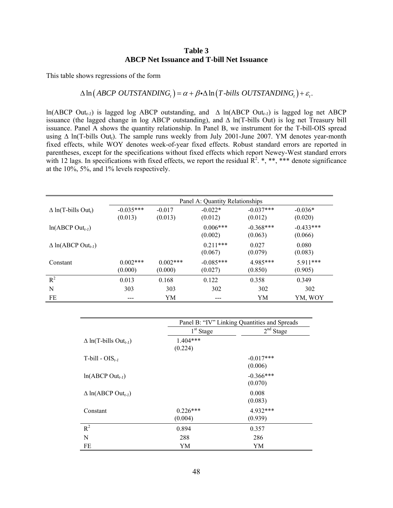#### **Table 3 ABCP Net Issuance and T-bill Net Issuance**

This table shows regressions of the form

## $\Delta \ln (ABCP$  *OUTSTANDING<sub>t</sub>* $) = \alpha + \beta \cdot \Delta \ln (T \cdot bill \cdot OUTSTANDING_t) + \varepsilon_t$ .

ln(ABCP Out*t-1*) is lagged log ABCP outstanding, and ∆ ln(ABCP Out*t-1*) is lagged log net ABCP issuance (the lagged change in log ABCP outstanding), and ∆ ln(T-bills Out) is log net Treasury bill issuance. Panel A shows the quantity relationship. In Panel B, we instrument for the T-bill-OIS spread using ∆ ln(T-bills Out*t*). The sample runs weekly from July 2001-June 2007. YM denotes year-month fixed effects, while WOY denotes week-of-year fixed effects. Robust standard errors are reported in parentheses, except for the specifications without fixed effects which report Newey-West standard errors with 12 lags. In specifications with fixed effects, we report the residual  $\mathbb{R}^2$ . \*, \*\*, \*\*\* denote significance at the 10%, 5%, and 1% levels respectively.

|                                        | Panel A: Quantity Relationships |                        |                        |                        |                        |  |  |
|----------------------------------------|---------------------------------|------------------------|------------------------|------------------------|------------------------|--|--|
| $\Delta$ ln(T-bills Out <sub>t</sub> ) | $-0.035***$<br>(0.013)          | $-0.017$<br>(0.013)    | $-0.022*$<br>(0.012)   | $-0.037***$<br>(0.012) | $-0.036*$<br>(0.020)   |  |  |
| $ln(ABCP Out_{t-1})$                   |                                 |                        | $0.006***$<br>(0.002)  | $-0.368***$<br>(0.063) | $-0.433***$<br>(0.066) |  |  |
| $\Delta$ ln(ABCP Out <sub>t-1</sub> )  |                                 |                        | $0.211***$<br>(0.067)  | 0.027<br>(0.079)       | 0.080<br>(0.083)       |  |  |
| Constant                               | $0.002$ ***<br>(0.000)          | $0.002$ ***<br>(0.000) | $-0.085***$<br>(0.027) | 4.985***<br>(0.850)    | $5.911***$<br>(0.905)  |  |  |
| $R^2$                                  | 0.013                           | 0.168                  | 0.122                  | 0.358                  | 0.349                  |  |  |
| N                                      | 303                             | 303                    | 302                    | 302                    | 302                    |  |  |
| FE                                     | ---                             | YM                     | ---                    | YM                     | YM. WOY                |  |  |

|                                          | Panel B: "IV" Linking Quantities and Spreads |             |  |  |  |
|------------------------------------------|----------------------------------------------|-------------|--|--|--|
|                                          | $1st$ Stage                                  | $2nd$ Stage |  |  |  |
| $\Delta$ ln(T-bills Out <sub>t-1</sub> ) | $1.404***$                                   |             |  |  |  |
|                                          | (0.224)                                      |             |  |  |  |
| $T$ -bill - OIS <sub>t-1</sub>           |                                              | $-0.017***$ |  |  |  |
|                                          |                                              | (0.006)     |  |  |  |
| $ln(ABCP Out_{t-1})$                     |                                              | $-0.366***$ |  |  |  |
|                                          |                                              | (0.070)     |  |  |  |
| $\Delta$ ln(ABCP Out <sub>t-1</sub> )    |                                              | 0.008       |  |  |  |
|                                          |                                              | (0.083)     |  |  |  |
| Constant                                 | $0.226***$                                   | 4.932***    |  |  |  |
|                                          | (0.004)                                      | (0.939)     |  |  |  |
| $R^2$                                    | 0.894                                        | 0.357       |  |  |  |
| N                                        | 288                                          | 286         |  |  |  |
| FE                                       | YM                                           | YM          |  |  |  |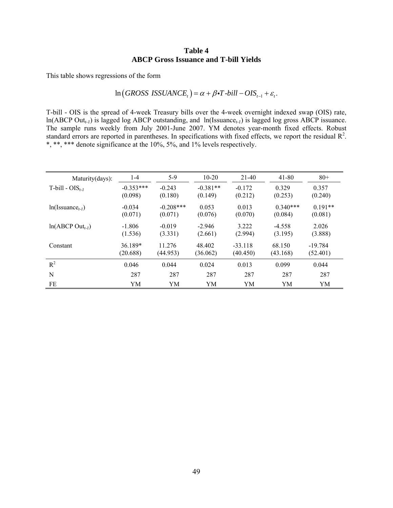## **Table 4 ABCP Gross Issuance and T-bill Yields**

This table shows regressions of the form

$$
\ln\big(GROSS\text{ ISSUANCE}_t\big) = \alpha + \beta \cdot T - bill - OIS_{t-1} + \varepsilon_t.
$$

T-bill - OIS is the spread of 4-week Treasury bills over the 4-week overnight indexed swap (OIS) rate, ln(ABCP Out*t-1*) is lagged log ABCP outstanding, and ln(Issuance*t-1*) is lagged log gross ABCP issuance. The sample runs weekly from July 2001-June 2007. YM denotes year-month fixed effects. Robust standard errors are reported in parentheses. In specifications with fixed effects, we report the residual  $\mathbb{R}^2$ . \*, \*\*\* denote significance at the 10%, 5%, and 1% levels respectively.

| Maturity(days):                   | $1 - 4$     | $5-9$       | $10-20$    | 21-40     | 41-80      | $80+$     |
|-----------------------------------|-------------|-------------|------------|-----------|------------|-----------|
| $T$ -bill - OIS <sub>t-1</sub>    | $-0.353***$ | $-0.243$    | $-0.381**$ | $-0.172$  | 0.329      | 0.357     |
|                                   | (0.098)     | (0.180)     | (0.149)    | (0.212)   | (0.253)    | (0.240)   |
| $ln($ Issuance <sub>t-1</sub> $)$ | $-0.034$    | $-0.208***$ | 0.053      | 0.013     | $0.340***$ | $0.191**$ |
|                                   | (0.071)     | (0.071)     | (0.076)    | (0.070)   | (0.084)    | (0.081)   |
| $ln(ABCP Out_{t-1})$              | $-1.806$    | $-0.019$    | $-2.946$   | 3.222     | $-4.558$   | 2.026     |
|                                   | (1.536)     | (3.331)     | (2.661)    | (2.994)   | (3.195)    | (3.888)   |
| Constant                          | 36.189*     | 11.276      | 48.402     | $-33.118$ | 68.150     | $-19.784$ |
|                                   | (20.688)    | (44.953)    | (36.062)   | (40.450)  | (43.168)   | (52.401)  |
| $R^2$                             | 0.046       | 0.044       | 0.024      | 0.013     | 0.099      | 0.044     |
| N                                 | 287         | 287         | 287        | 287       | 287        | 287       |
| FE                                | YΜ          | YM          | YM         | YM        | YM         | YM        |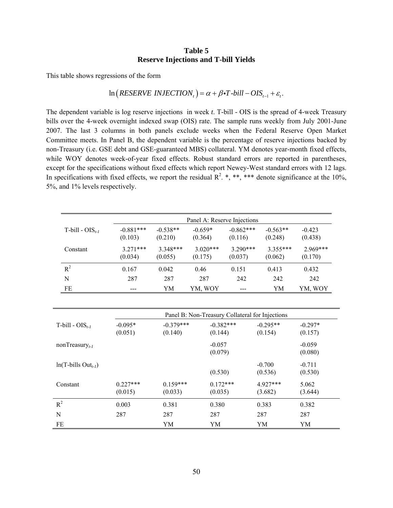#### **Table 5 Reserve Injections and T-bill Yields**

This table shows regressions of the form

## $\ln (RESERVE INJECTION<sub>t</sub>) = \alpha + \beta \cdot T \cdot bill - OIS<sub>t-1</sub> + \varepsilon_t.$

The dependent variable is log reserve injections in week *t*. T-bill - OIS is the spread of 4-week Treasury bills over the 4-week overnight indexed swap (OIS) rate. The sample runs weekly from July 2001-June 2007. The last 3 columns in both panels exclude weeks when the Federal Reserve Open Market Committee meets. In Panel B, the dependent variable is the percentage of reserve injections backed by non-Treasury (i.e. GSE debt and GSE-guaranteed MBS) collateral. YM denotes year-month fixed effects, while WOY denotes week-of-year fixed effects. Robust standard errors are reported in parentheses, except for the specifications without fixed effects which report Newey-West standard errors with 12 lags. In specifications with fixed effects, we report the residual  $\mathbb{R}^2$ . \*, \*\*\* denote significance at the 10%, 5%, and 1% levels respectively.

|                      | Panel A: Reserve Injections |                       |                       |                        |                       |                       |  |  |
|----------------------|-----------------------------|-----------------------|-----------------------|------------------------|-----------------------|-----------------------|--|--|
| T-bill - $OIS_{t-1}$ | $-0.881***$<br>(0.103)      | $-0.538**$<br>(0.210) | $-0.659*$<br>(0.364)  | $-0.862***$<br>(0.116) | $-0.563**$<br>(0.248) | $-0.423$<br>(0.438)   |  |  |
| Constant             | $3.271***$<br>(0.034)       | $3.348***$<br>(0.055) | $3.020***$<br>(0.175) | $3.290***$<br>(0.037)  | $3.355***$<br>(0.062) | $2.969***$<br>(0.170) |  |  |
| $R^2$                | 0.167                       | 0.042                 | 0.46                  | 0.151                  | 0.413                 | 0.432                 |  |  |
| N                    | 287                         | 287                   | 287                   | 242                    | 242                   | 242                   |  |  |
| FE                   | ---                         | YM                    | YM, WOY               |                        | YΜ                    | YM, WOY               |  |  |

|                                    | Panel B: Non-Treasury Collateral for Injections |                        |                        |                       |                      |  |
|------------------------------------|-------------------------------------------------|------------------------|------------------------|-----------------------|----------------------|--|
| $T$ -bill - OIS <sub>t-1</sub>     | $-0.095*$<br>(0.051)                            | $-0.379***$<br>(0.140) | $-0.382***$<br>(0.144) | $-0.295**$<br>(0.154) | $-0.297*$<br>(0.157) |  |
| nonTreasury <sub>t-1</sub>         |                                                 |                        | $-0.057$<br>(0.079)    |                       | $-0.059$<br>(0.080)  |  |
| $ln(T$ -bills Out <sub>t-1</sub> ) |                                                 |                        | (0.530)                | $-0.700$<br>(0.536)   | $-0.711$<br>(0.530)  |  |
| Constant                           | $0.227***$<br>(0.015)                           | $0.159***$<br>(0.033)  | $0.172***$<br>(0.035)  | $4.927***$<br>(3.682) | 5.062<br>(3.644)     |  |
| $R^2$                              | 0.003                                           | 0.381                  | 0.380                  | 0.383                 | 0.382                |  |
| N                                  | 287                                             | 287                    | 287                    | 287                   | 287                  |  |
| FE                                 |                                                 | YM                     | YM                     | YM                    | YM                   |  |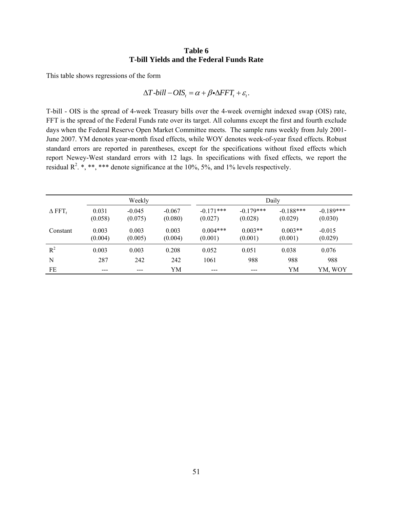#### **Table 6 T-bill Yields and the Federal Funds Rate**

This table shows regressions of the form

$$
\Delta T\text{-}bill - OIS_t = \alpha + \beta \text{-} \Delta FFT_t + \varepsilon_t.
$$

T-bill - OIS is the spread of 4-week Treasury bills over the 4-week overnight indexed swap (OIS) rate, FFT is the spread of the Federal Funds rate over its target. All columns except the first and fourth exclude days when the Federal Reserve Open Market Committee meets. The sample runs weekly from July 2001- June 2007. YM denotes year-month fixed effects, while WOY denotes week-of-year fixed effects. Robust standard errors are reported in parentheses, except for the specifications without fixed effects which report Newey-West standard errors with 12 lags. In specifications with fixed effects, we report the residual  $R^2$ . \*, \*\*\* denote significance at the 10%, 5%, and 1% levels respectively.

|               | Weekly           |                     |                     |                        | Daily                  |                        |                        |  |
|---------------|------------------|---------------------|---------------------|------------------------|------------------------|------------------------|------------------------|--|
| $\Delta$ FFT, | 0.031<br>(0.058) | $-0.045$<br>(0.075) | $-0.067$<br>(0.080) | $-0.171***$<br>(0.027) | $-0.179***$<br>(0.028) | $-0.188***$<br>(0.029) | $-0.189***$<br>(0.030) |  |
| Constant      | 0.003<br>(0.004) | 0.003<br>(0.005)    | 0.003<br>(0.004)    | $0.004***$<br>(0.001)  | $0.003**$<br>(0.001)   | $0.003**$<br>(0.001)   | $-0.015$<br>(0.029)    |  |
| $R^2$         | 0.003            | 0.003               | 0.208               | 0.052                  | 0.051                  | 0.038                  | 0.076                  |  |
| N             | 287              | 242                 | 242                 | 1061                   | 988                    | 988                    | 988                    |  |
| FE            | ---              |                     | YΜ                  | ---                    |                        | YM                     | YM, WOY                |  |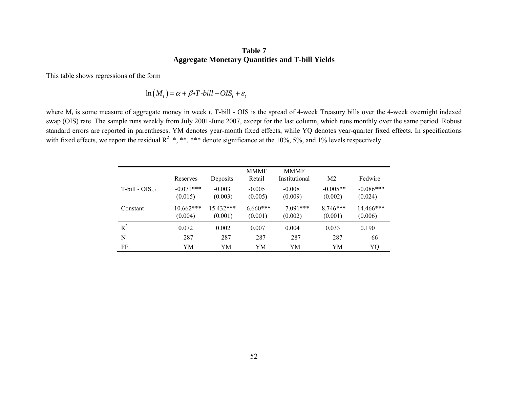## **Table 7 Aggregate Monetary Quantities and T-bill Yields**

This table shows regressions of the form

$$
\ln(M_t) = \alpha + \beta \cdot T \cdot bill - OIS_t + \varepsilon_t
$$

where M<sub>t</sub> is some measure of aggregate money in week *t*. T-bill - OIS is the spread of 4-week Treasury bills over the 4-week overnight indexed swap (OIS) rate. The sample runs weekly from July 2001-June 2007, except for the last column, which runs monthly over the same period. Robust standard errors are reported in parentheses. YM denotes year-month fixed effects, while YQ denotes year-quarter fixed effects. In specifications with fixed effects, we report the residual  $R^2$ . \*, \*\*\* denote significance at the 10%, 5%, and 1% levels respectively.

|                                | Reserves               | Deposits             | <b>MMMF</b><br>Retail | <b>MMMF</b><br>Institutional | M <sub>2</sub>        | Fedwire                |
|--------------------------------|------------------------|----------------------|-----------------------|------------------------------|-----------------------|------------------------|
| $T$ -bill - OIS <sub>t-1</sub> | $-0.071***$<br>(0.015) | $-0.003$<br>(0.003)  | $-0.005$<br>(0.005)   | $-0.008$<br>(0.009)          | $-0.005**$<br>(0.002) | $-0.086***$<br>(0.024) |
| Constant                       | $10.662***$<br>(0.004) | 15.432***<br>(0.001) | $6.660***$<br>(0.001) | $7.091***$<br>(0.002)        | $8746***$<br>(0.001)  | $14.466***$<br>(0.006) |
| $R^2$                          | 0.072                  | 0.002                | 0.007                 | 0.004                        | 0.033                 | 0.190                  |
| N                              | 287                    | 287                  | 287                   | 287                          | 287                   | 66                     |
| FE                             | YM                     | YM                   | YM                    | YM                           | YM                    | YQ                     |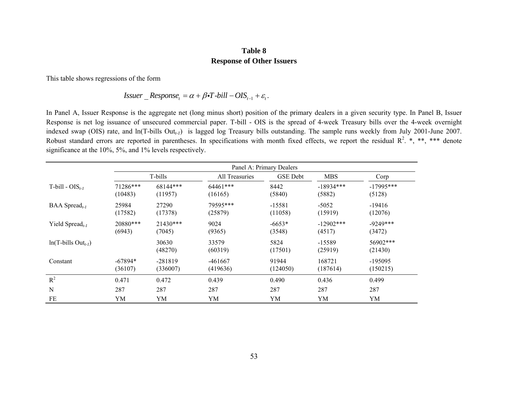#### **Table 8 Response of Other Issuers**

This table shows regressions of the form

*Issuer* 
$$
\_
$$
 *Response*<sub>t</sub> =  $\alpha + \beta \cdot T$ -*bill* – *OIS*<sub>t-1</sub> +  $\varepsilon$ <sub>t</sub>.

In Panel A, Issuer Response is the aggregate net (long minus short) position of the primary dealers in a given security type. In Panel B, Issuer Response is net log issuance of unsecured commercial paper. T-bill - OIS is the spread of 4-week Treasury bills over the 4-week overnight indexed swap (OIS) rate, and ln(T-bills Out*t-1*) is lagged log Treasury bills outstanding. The sample runs weekly from July 2001-June 2007. Robust standard errors are reported in parentheses. In specifications with month fixed effects, we report the residual  $R^2$ , \*, \*\*\* denote significance at the 10%, 5%, and 1% levels respectively.

|                                    | Panel A: Primary Dealers |                       |                       |                     |                       |                       |  |  |  |  |
|------------------------------------|--------------------------|-----------------------|-----------------------|---------------------|-----------------------|-----------------------|--|--|--|--|
|                                    |                          | T-bills               | All Treasuries        | <b>GSE</b> Debt     | <b>MBS</b>            | Corp                  |  |  |  |  |
| T-bill - $OIS_{t-1}$               | 71286***<br>(10483)      | 68144***<br>(11957)   | $64461***$<br>(16165) | 8442<br>(5840)      | $-18934***$<br>(5882) | $-17995***$<br>(5128) |  |  |  |  |
| BAA Spread <sub>t-1</sub>          | 25984<br>(17582)         | 27290<br>(17378)      | 79595***<br>(25879)   | $-15581$<br>(11058) | $-5052$<br>(15919)    | $-19416$<br>(12076)   |  |  |  |  |
| Yield Spread <sub>t-1</sub>        | 20880***<br>(6943)       | $21430***$<br>(7045)  | 9024<br>(9365)        | $-6653*$<br>(3548)  | $-12902***$<br>(4517) | $-9249***$<br>(3472)  |  |  |  |  |
| $ln(T$ -bills Out <sub>t-1</sub> ) |                          | 30630<br>(48270)      | 33579<br>(60319)      | 5824<br>(17501)     | $-15589$<br>(25919)   | 56902***<br>(21430)   |  |  |  |  |
| Constant                           | $-67894*$<br>(36107)     | $-281819$<br>(336007) | -461667<br>(419636)   | 91944<br>(124050)   | 168721<br>(187614)    | $-195095$<br>(150215) |  |  |  |  |
| $R^2$                              | 0.471                    | 0.472                 | 0.439                 | 0.490               | 0.436                 | 0.499                 |  |  |  |  |
| N                                  | 287                      | 287                   | 287                   | 287                 | 287                   | 287                   |  |  |  |  |
| FE                                 | YM                       | YM                    | YM                    | YM                  | YM                    | YM                    |  |  |  |  |